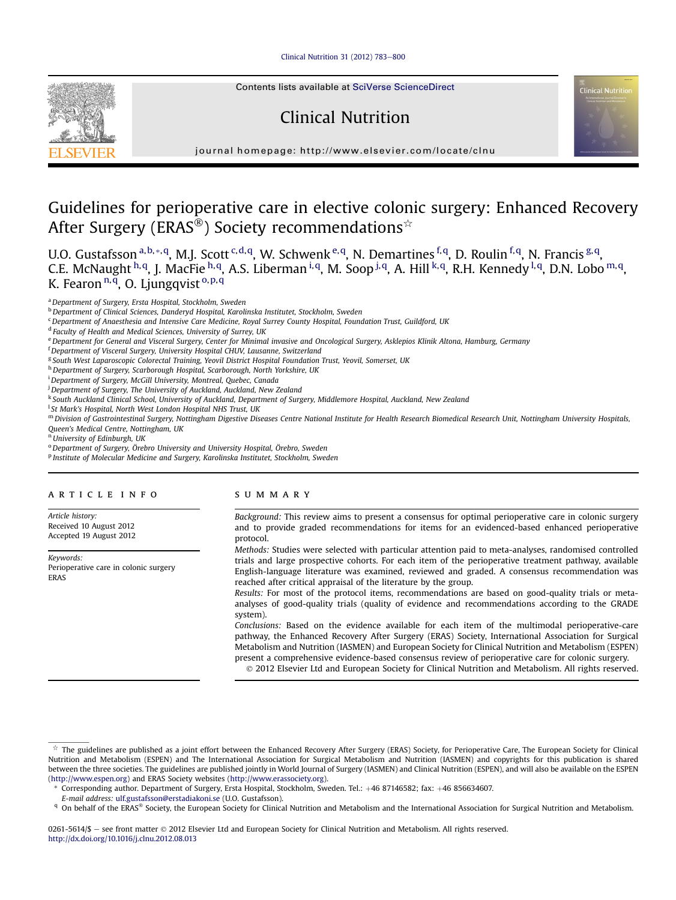## [Clinical Nutrition 31 \(2012\) 783](http://dx.doi.org/10.1016/j.clnu.2012.08.013)-[800](http://dx.doi.org/10.1016/j.clnu.2012.08.013)



Contents lists available at SciVerse ScienceDirect

# Clinical Nutrition



journal homepage:<http://www.elsevier.com/locate/clnu>

# Guidelines for perioperative care in elective colonic surgery: Enhanced Recovery After Surgery ( $ERAS^{\circledast}$ ) Society recommendations $\dot{\varphi}$

U.O. Gustafsson <sup>a, b,</sup> \*, q, M.J. Scott <sup>c, d, q</sup>, W. Schwenk <sup>e, q</sup>, N. Demartines <sup>f, q</sup>, D. Roulin <sup>f, q</sup>, N. Francis <sup>g, q</sup>, C.E. McNaught <sup>h,q</sup>, J. MacFie <sup>h,q</sup>, A.S. Liberman <sup>i,q</sup>, M. Soop <sup>j,q</sup>, A. Hill <sup>k,q</sup>, R.H. Kennedy <sup>l,q</sup>, D.N. Lobo <sup>m,q</sup>, K. Fearon <sup>n, q</sup>, O. Ljungqvist <sup>o, p, q</sup>

<sup>a</sup> Department of Surgery, Ersta Hospital, Stockholm, Sweden

<sup>c</sup> Department of Anaesthesia and Intensive Care Medicine, Royal Surrey County Hospital, Foundation Trust, Guildford, UK

e Department for General and Visceral Surgery, Center for Minimal invasive and Oncological Surgery, Asklepios Klinik Altona, Hamburg, Germany

<sup>g</sup> South West Laparoscopic Colorectal Training, Yeovil District Hospital Foundation Trust, Yeovil, Somerset, UK

h Department of Surgery, Scarborough Hospital, Scarborough, North Yorkshire, UK

<sup>i</sup> Department of Surgery, McGill University, Montreal, Quebec, Canada

<sup>j</sup> Department of Surgery, The University of Auckland, Auckland, New Zealand

<sup>k</sup> South Auckland Clinical School, University of Auckland, Department of Surgery, Middlemore Hospital, Auckland, New Zealand

<sup>1</sup> St Mark's Hospital, North West London Hospital NHS Trust, UK

m Division of Gastrointestinal Surgery, Nottingham Digestive Diseases Centre National Institute for Health Research Biomedical Research Unit, Nottingham University Hospitals, Queen's Medical Centre, Nottingham, UK

<sup>n</sup> University of Edinburgh, UK

<sup>o</sup> Department of Surgery, Örebro University and University Hospital, Örebro, Sweden

<sup>p</sup> Institute of Molecular Medicine and Surgery, Karolinska Institutet, Stockholm, Sweden

#### article info

Article history: Received 10 August 2012 Accepted 19 August 2012

Keywords: Perioperative care in colonic surgery ERAS

# SUMMARY

Background: This review aims to present a consensus for optimal perioperative care in colonic surgery and to provide graded recommendations for items for an evidenced-based enhanced perioperative protocol.

Methods: Studies were selected with particular attention paid to meta-analyses, randomised controlled trials and large prospective cohorts. For each item of the perioperative treatment pathway, available English-language literature was examined, reviewed and graded. A consensus recommendation was reached after critical appraisal of the literature by the group.

Results: For most of the protocol items, recommendations are based on good-quality trials or metaanalyses of good-quality trials (quality of evidence and recommendations according to the GRADE system).

Conclusions: Based on the evidence available for each item of the multimodal perioperative-care pathway, the Enhanced Recovery After Surgery (ERAS) Society, International Association for Surgical Metabolism and Nutrition (IASMEN) and European Society for Clinical Nutrition and Metabolism (ESPEN) present a comprehensive evidence-based consensus review of perioperative care for colonic surgery.

2012 Elsevier Ltd and European Society for Clinical Nutrition and Metabolism. All rights reserved.

<sup>&</sup>lt;sup>b</sup> Department of Clinical Sciences, Danderyd Hospital, Karolinska Institutet, Stockholm, Sweden

<sup>d</sup> Faculty of Health and Medical Sciences, University of Surrey, UK

<sup>&</sup>lt;sup>f</sup> Department of Visceral Surgery, University Hospital CHUV, Lausanne, Switzerland

 $\phi$  The guidelines are published as a joint effort between the Enhanced Recovery After Surgery (ERAS) Society, for Perioperative Care, The European Society for Clinical Nutrition and Metabolism (ESPEN) and The International Association for Surgical Metabolism and Nutrition (IASMEN) and copyrights for this publication is shared between the three societies. The guidelines are published jointly in World Journal of Surgery (IASMEN) and Clinical Nutrition (ESPEN), and will also be available on the ESPEN (<http://www.espen.org>) and ERAS Society websites (<http://www.erassociety.org>).

Corresponding author. Department of Surgery, Ersta Hospital, Stockholm, Sweden. Tel.: +46 87146582; fax: +46 856634607.

E-mail address: [ulf.gustafsson@erstadiakoni.se](mailto:ulf.gustafsson@erstadiakoni.se) (U.O. Gustafsson).

<sup>&</sup>lt;sup>q</sup> On behalf of the ERAS® Society, the European Society for Clinical Nutrition and Metabolism and the International Association for Surgical Nutrition and Metabolism.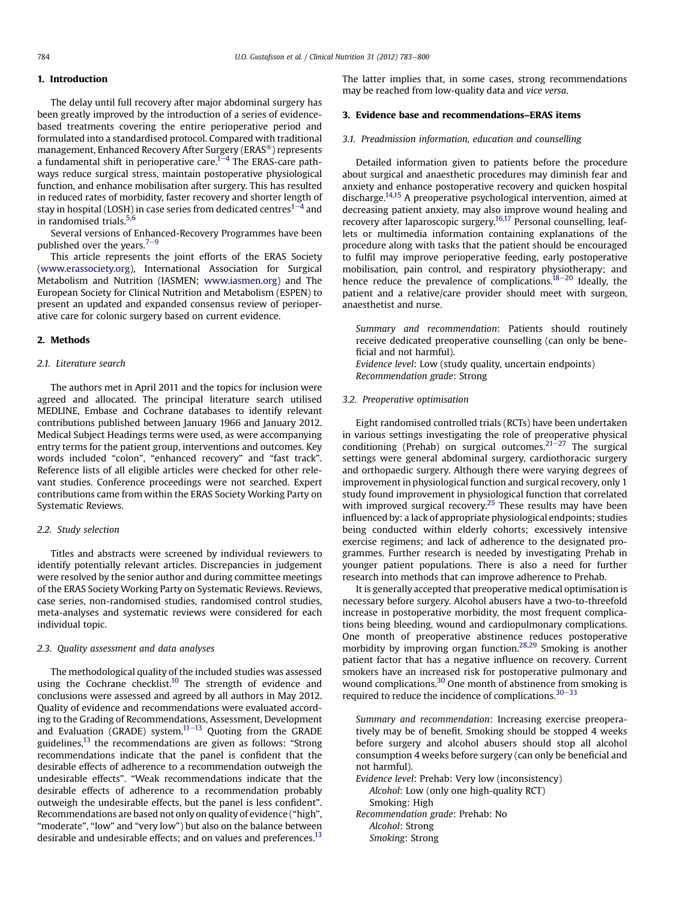# 1. Introduction

The delay until full recovery after major abdominal surgery has been greatly improved by the introduction of a series of evidencebased treatments covering the entire perioperative period and formulated into a standardised protocol. Compared with traditional management, Enhanced Recovery After Surgery (ERAS®) represents a fundamental shift in perioperative care.<sup>[1](#page-13-0)-[4](#page-13-0)</sup> The ERAS-care pathways reduce surgical stress, maintain postoperative physiological function, and enhance mobilisation after surgery. This has resulted in reduced rates of morbidity, faster recovery and shorter length of stay in hospital (LOSH) in case series from dedicated centres<sup>1-[4](#page-13-0)</sup> and in randomised trials.<sup>5,6</sup>

Several versions of Enhanced-Recovery Programmes have been published over the years.<sup>7-[9](#page-13-0)</sup>

This article represents the joint efforts of the ERAS Society ([www.erassociety.org](http://www.erassociety.org)), International Association for Surgical Metabolism and Nutrition (IASMEN; [www.iasmen.org](http://www.iasmen.org)) and The European Society for Clinical Nutrition and Metabolism (ESPEN) to present an updated and expanded consensus review of perioperative care for colonic surgery based on current evidence.

## 2. Methods

# 2.1. Literature search

The authors met in April 2011 and the topics for inclusion were agreed and allocated. The principal literature search utilised MEDLINE, Embase and Cochrane databases to identify relevant contributions published between January 1966 and January 2012. Medical Subject Headings terms were used, as were accompanying entry terms for the patient group, interventions and outcomes. Key words included "colon", "enhanced recovery" and "fast track". Reference lists of all eligible articles were checked for other relevant studies. Conference proceedings were not searched. Expert contributions came from within the ERAS Society Working Party on Systematic Reviews.

#### 2.2. Study selection

Titles and abstracts were screened by individual reviewers to identify potentially relevant articles. Discrepancies in judgement were resolved by the senior author and during committee meetings of the ERAS Society Working Party on Systematic Reviews. Reviews, case series, non-randomised studies, randomised control studies, meta-analyses and systematic reviews were considered for each individual topic.

## 2.3. Quality assessment and data analyses

The methodological quality of the included studies was assessed using the Cochrane checklist.<sup>10</sup> The strength of evidence and conclusions were assessed and agreed by all authors in May 2012. Quality of evidence and recommendations were evaluated according to the Grading of Recommendations, Assessment, Development and Evaluation (GRADE) system. $11-13$  $11-13$  $11-13$  Quoting from the GRADE guidelines, $13$  the recommendations are given as follows: "Strong recommendations indicate that the panel is confident that the desirable effects of adherence to a recommendation outweigh the undesirable effects". "Weak recommendations indicate that the desirable effects of adherence to a recommendation probably outweigh the undesirable effects, but the panel is less confident". Recommendations are based not only on quality of evidence ("high", "moderate", "low" and "very low") but also on the balance between desirable and undesirable effects; and on values and preferences.<sup>[13](#page-13-0)</sup> The latter implies that, in some cases, strong recommendations may be reached from low-quality data and vice versa.

# 3. Evidence base and recommendations–ERAS items

# 3.1. Preadmission information, education and counselling

Detailed information given to patients before the procedure about surgical and anaesthetic procedures may diminish fear and anxiety and enhance postoperative recovery and quicken hospital discharge.[14,15](#page-13-0) A preoperative psychological intervention, aimed at decreasing patient anxiety, may also improve wound healing and recovery after laparoscopic surgery.<sup>[16,17](#page-13-0)</sup> Personal counselling, leaflets or multimedia information containing explanations of the procedure along with tasks that the patient should be encouraged to fulfil may improve perioperative feeding, early postoperative mobilisation, pain control, and respiratory physiotherapy; and hence reduce the prevalence of complications.<sup>18-[20](#page-13-0)</sup> Ideally, the patient and a relative/care provider should meet with surgeon, anaesthetist and nurse.

Summary and recommendation: Patients should routinely receive dedicated preoperative counselling (can only be beneficial and not harmful). Evidence level: Low (study quality, uncertain endpoints) Recommendation grade: Strong

## 3.2. Preoperative optimisation

Eight randomised controlled trials (RCTs) have been undertaken in various settings investigating the role of preoperative physical conditioning (Prehab) on surgical outcomes.<sup>[21](#page-13-0)-[27](#page-13-0)</sup> The surgical settings were general abdominal surgery, cardiothoracic surgery and orthopaedic surgery. Although there were varying degrees of improvement in physiological function and surgical recovery, only 1 study found improvement in physiological function that correlated with improved surgical recovery.<sup>[25](#page-13-0)</sup> These results may have been influenced by: a lack of appropriate physiological endpoints; studies being conducted within elderly cohorts; excessively intensive exercise regimens; and lack of adherence to the designated programmes. Further research is needed by investigating Prehab in younger patient populations. There is also a need for further research into methods that can improve adherence to Prehab.

It is generally accepted that preoperative medical optimisation is necessary before surgery. Alcohol abusers have a two-to-threefold increase in postoperative morbidity, the most frequent complications being bleeding, wound and cardiopulmonary complications. One month of preoperative abstinence reduces postoperative morbidity by improving organ function.<sup>[28,29](#page-13-0)</sup> Smoking is another patient factor that has a negative influence on recovery. Current smokers have an increased risk for postoperative pulmonary and wound complications.<sup>[30](#page-13-0)</sup> One month of abstinence from smoking is required to reduce the incidence of complications. $30-33$  $30-33$  $30-33$ 

Summary and recommendation: Increasing exercise preoperatively may be of benefit. Smoking should be stopped 4 weeks before surgery and alcohol abusers should stop all alcohol consumption 4 weeks before surgery (can only be beneficial and not harmful).

Evidence level: Prehab: Very low (inconsistency) Alcohol: Low (only one high-quality RCT) Smoking: High Recommendation grade: Prehab: No Alcohol: Strong Smoking: Strong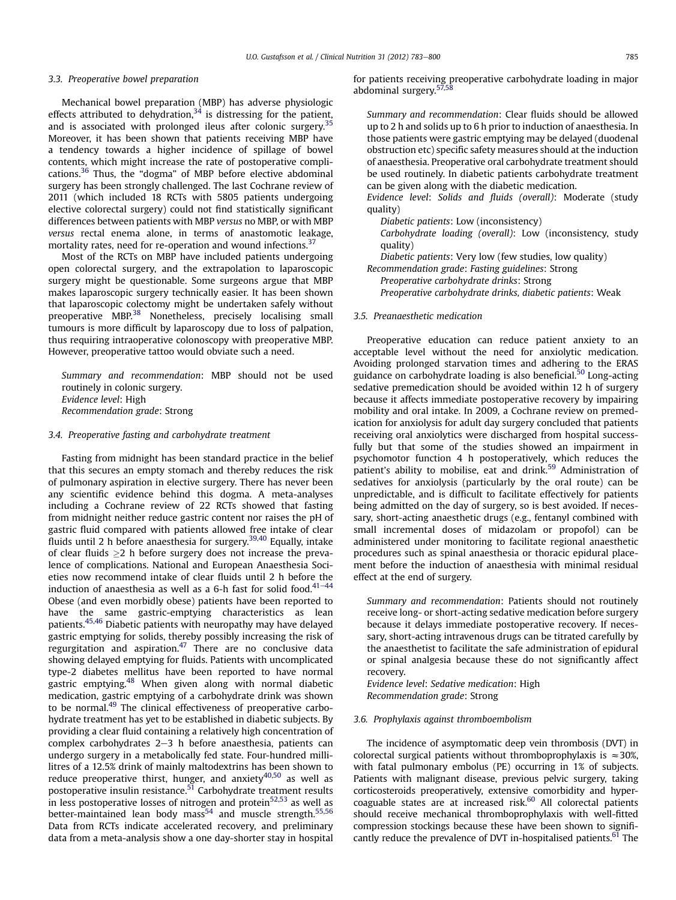#### 3.3. Preoperative bowel preparation

Mechanical bowel preparation (MBP) has adverse physiologic effects attributed to dehydration, $34$  is distressing for the patient, and is associated with prolonged ileus after colonic surgery.<sup>[35](#page-13-0)</sup> Moreover, it has been shown that patients receiving MBP have a tendency towards a higher incidence of spillage of bowel contents, which might increase the rate of postoperative complications[.36](#page-13-0) Thus, the "dogma" of MBP before elective abdominal surgery has been strongly challenged. The last Cochrane review of 2011 (which included 18 RCTs with 5805 patients undergoing elective colorectal surgery) could not find statistically significant differences between patients with MBP versus no MBP, or with MBP versus rectal enema alone, in terms of anastomotic leakage, mortality rates, need for re-operation and wound infections.<sup>[37](#page-13-0)</sup>

Most of the RCTs on MBP have included patients undergoing open colorectal surgery, and the extrapolation to laparoscopic surgery might be questionable. Some surgeons argue that MBP makes laparoscopic surgery technically easier. It has been shown that laparoscopic colectomy might be undertaken safely without preoperative MBP.<sup>[38](#page-13-0)</sup> Nonetheless, precisely localising small tumours is more difficult by laparoscopy due to loss of palpation, thus requiring intraoperative colonoscopy with preoperative MBP. However, preoperative tattoo would obviate such a need.

Summary and recommendation: MBP should not be used routinely in colonic surgery. Evidence level: High Recommendation grade: Strong

## 3.4. Preoperative fasting and carbohydrate treatment

Fasting from midnight has been standard practice in the belief that this secures an empty stomach and thereby reduces the risk of pulmonary aspiration in elective surgery. There has never been any scientific evidence behind this dogma. A meta-analyses including a Cochrane review of 22 RCTs showed that fasting from midnight neither reduce gastric content nor raises the pH of gastric fluid compared with patients allowed free intake of clear fluids until 2 h before anaesthesia for surgery[.39,40](#page-13-0) Equally, intake of clear fluids  $\geq$  h before surgery does not increase the prevalence of complications. National and European Anaesthesia Societies now recommend intake of clear fluids until 2 h before the induction of anaesthesia as well as a 6-h fast for solid food. $41-44$  $41-44$ Obese (and even morbidly obese) patients have been reported to have the same gastric-emptying characteristics as lean patients.[45,46](#page-13-0) Diabetic patients with neuropathy may have delayed gastric emptying for solids, thereby possibly increasing the risk of regurgitation and aspiration.<sup>[47](#page-13-0)</sup> There are no conclusive data showing delayed emptying for fluids. Patients with uncomplicated type-2 diabetes mellitus have been reported to have normal gastric emptying.<sup>[48](#page-13-0)</sup> When given along with normal diabetic medication, gastric emptying of a carbohydrate drink was shown to be normal.[49](#page-13-0) The clinical effectiveness of preoperative carbohydrate treatment has yet to be established in diabetic subjects. By providing a clear fluid containing a relatively high concentration of complex carbohydrates  $2-3$  h before anaesthesia, patients can undergo surgery in a metabolically fed state. Four-hundred millilitres of a 12.5% drink of mainly maltodextrins has been shown to reduce preoperative thirst, hunger, and anxiety $40,50$  as well as postoperative insulin resistance.<sup>[51](#page-13-0)</sup> Carbohydrate treatment results in less postoperative losses of nitrogen and protein<sup>[52,53](#page-13-0)</sup> as well as better-maintained lean body mass<sup>[54](#page-13-0)</sup> and muscle strength.<sup>[55,56](#page-13-0)</sup> Data from RCTs indicate accelerated recovery, and preliminary data from a meta-analysis show a one day-shorter stay in hospital

for patients receiving preoperative carbohydrate loading in major abdominal surgery. $57$ <sup>57</sup>

Summary and recommendation: Clear fluids should be allowed up to 2 h and solids up to 6 h prior to induction of anaesthesia. In those patients were gastric emptying may be delayed (duodenal obstruction etc) specific safety measures should at the induction of anaesthesia. Preoperative oral carbohydrate treatment should be used routinely. In diabetic patients carbohydrate treatment can be given along with the diabetic medication.

Evidence level: Solids and fluids (overall): Moderate (study quality)

Diabetic patients: Low (inconsistency)

Carbohydrate loading (overall): Low (inconsistency, study quality)

Diabetic patients: Very low (few studies, low quality)

Recommendation grade: Fasting guidelines: Strong

Preoperative carbohydrate drinks: Strong Preoperative carbohydrate drinks, diabetic patients: Weak

#### 3.5. Preanaesthetic medication

Preoperative education can reduce patient anxiety to an acceptable level without the need for anxiolytic medication. Avoiding prolonged starvation times and adhering to the ERAS guidance on carbohydrate loading is also beneficial.<sup>[50](#page-13-0)</sup> Long-acting sedative premedication should be avoided within 12 h of surgery because it affects immediate postoperative recovery by impairing mobility and oral intake. In 2009, a Cochrane review on premedication for anxiolysis for adult day surgery concluded that patients receiving oral anxiolytics were discharged from hospital successfully but that some of the studies showed an impairment in psychomotor function 4 h postoperatively, which reduces the patient's ability to mobilise, eat and drink.<sup>[59](#page-14-0)</sup> Administration of sedatives for anxiolysis (particularly by the oral route) can be unpredictable, and is difficult to facilitate effectively for patients being admitted on the day of surgery, so is best avoided. If necessary, short-acting anaesthetic drugs (e.g., fentanyl combined with small incremental doses of midazolam or propofol) can be administered under monitoring to facilitate regional anaesthetic procedures such as spinal anaesthesia or thoracic epidural placement before the induction of anaesthesia with minimal residual effect at the end of surgery.

Summary and recommendation: Patients should not routinely receive long- or short-acting sedative medication before surgery because it delays immediate postoperative recovery. If necessary, short-acting intravenous drugs can be titrated carefully by the anaesthetist to facilitate the safe administration of epidural or spinal analgesia because these do not significantly affect recovery.

Evidence level: Sedative medication: High Recommendation grade: Strong

# 3.6. Prophylaxis against thromboembolism

The incidence of asymptomatic deep vein thrombosis (DVT) in colorectal surgical patients without thromboprophylaxis is  $\approx 30\%$ , with fatal pulmonary embolus (PE) occurring in 1% of subjects. Patients with malignant disease, previous pelvic surgery, taking corticosteroids preoperatively, extensive comorbidity and hyper-coaguable states are at increased risk.<sup>[60](#page-14-0)</sup> All colorectal patients should receive mechanical thromboprophylaxis with well-fitted compression stockings because these have been shown to significantly reduce the prevalence of DVT in-hospitalised patients. $61$  The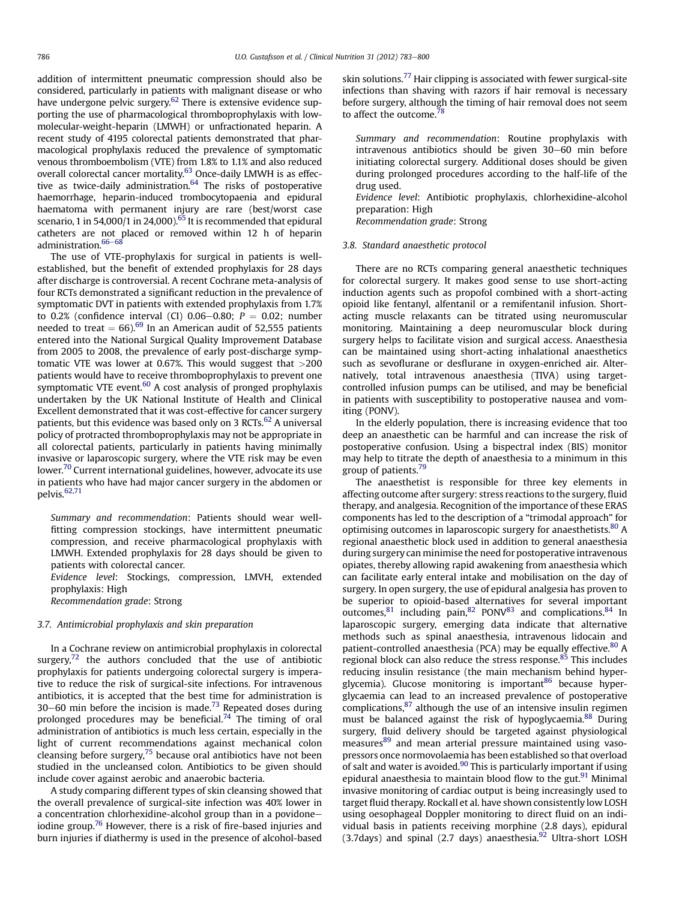addition of intermittent pneumatic compression should also be considered, particularly in patients with malignant disease or who have undergone pelvic surgery.<sup>[62](#page-14-0)</sup> There is extensive evidence supporting the use of pharmacological thromboprophylaxis with lowmolecular-weight-heparin (LMWH) or unfractionated heparin. A recent study of 4195 colorectal patients demonstrated that pharmacological prophylaxis reduced the prevalence of symptomatic venous thromboembolism (VTE) from 1.8% to 1.1% and also reduced overall colorectal cancer mortality.<sup>63</sup> Once-daily LMWH is as effec-tive as twice-daily administration.<sup>[64](#page-14-0)</sup> The risks of postoperative haemorrhage, heparin-induced trombocytopaenia and epidural haematoma with permanent injury are rare (best/worst case scenario, 1 in 54,000/1 in 24,000).<sup>[65](#page-14-0)</sup> It is recommended that epidural catheters are not placed or removed within 12 h of heparin administration.<sup>66-[68](#page-14-0)</sup>

The use of VTE-prophylaxis for surgical in patients is wellestablished, but the benefit of extended prophylaxis for 28 days after discharge is controversial. A recent Cochrane meta-analysis of four RCTs demonstrated a significant reduction in the prevalence of symptomatic DVT in patients with extended prophylaxis from 1.7% to 0.2% (confidence interval (CI) 0.06-0.80;  $P = 0.02$ ; number needed to treat  $= 66$ ).<sup>69</sup> In an American audit of 52,555 patients entered into the National Surgical Quality Improvement Database from 2005 to 2008, the prevalence of early post-discharge symptomatic VTE was lower at 0.67%. This would suggest that >200 patients would have to receive thromboprophylaxis to prevent one symptomatic VTE event. $60$  A cost analysis of pronged prophylaxis undertaken by the UK National Institute of Health and Clinical Excellent demonstrated that it was cost-effective for cancer surgery patients, but this evidence was based only on 3 RCTs. $62$  A universal policy of protracted thromboprophylaxis may not be appropriate in all colorectal patients, particularly in patients having minimally invasive or laparoscopic surgery, where the VTE risk may be even lower.<sup>[70](#page-14-0)</sup> Current international guidelines, however, advocate its use in patients who have had major cancer surgery in the abdomen or pelvis.[62,71](#page-14-0)

Summary and recommendation: Patients should wear wellfitting compression stockings, have intermittent pneumatic compression, and receive pharmacological prophylaxis with LMWH. Extended prophylaxis for 28 days should be given to patients with colorectal cancer.

Evidence level: Stockings, compression, LMVH, extended prophylaxis: High

Recommendation grade: Strong

# 3.7. Antimicrobial prophylaxis and skin preparation

In a Cochrane review on antimicrobial prophylaxis in colorectal surgery, $72$  the authors concluded that the use of antibiotic prophylaxis for patients undergoing colorectal surgery is imperative to reduce the risk of surgical-site infections. For intravenous antibiotics, it is accepted that the best time for administration is 30–60 min before the incision is made.<sup>73</sup> Repeated doses during prolonged procedures may be beneficial.<sup>[74](#page-14-0)</sup> The timing of oral administration of antibiotics is much less certain, especially in the light of current recommendations against mechanical colon cleansing before surgery,[75](#page-14-0) because oral antibiotics have not been studied in the uncleansed colon. Antibiotics to be given should include cover against aerobic and anaerobic bacteria.

A study comparing different types of skin cleansing showed that the overall prevalence of surgical-site infection was 40% lower in a concentration chlorhexidine-alcohol group than in a povidoneiodine group.[76](#page-14-0) However, there is a risk of fire-based injuries and burn injuries if diathermy is used in the presence of alcohol-based skin solutions.[77](#page-14-0) Hair clipping is associated with fewer surgical-site infections than shaving with razors if hair removal is necessary before surgery, although the timing of hair removal does not seem to affect the outcome.<sup>7</sup>

Summary and recommendation: Routine prophylaxis with intravenous antibiotics should be given  $30-60$  min before initiating colorectal surgery. Additional doses should be given during prolonged procedures according to the half-life of the drug used.

Evidence level: Antibiotic prophylaxis, chlorhexidine-alcohol preparation: High

Recommendation grade: Strong

### 3.8. Standard anaesthetic protocol

There are no RCTs comparing general anaesthetic techniques for colorectal surgery. It makes good sense to use short-acting induction agents such as propofol combined with a short-acting opioid like fentanyl, alfentanil or a remifentanil infusion. Shortacting muscle relaxants can be titrated using neuromuscular monitoring. Maintaining a deep neuromuscular block during surgery helps to facilitate vision and surgical access. Anaesthesia can be maintained using short-acting inhalational anaesthetics such as sevoflurane or desflurane in oxygen-enriched air. Alternatively, total intravenous anaesthesia (TIVA) using targetcontrolled infusion pumps can be utilised, and may be beneficial in patients with susceptibility to postoperative nausea and vomiting (PONV).

In the elderly population, there is increasing evidence that too deep an anaesthetic can be harmful and can increase the risk of postoperative confusion. Using a bispectral index (BIS) monitor may help to titrate the depth of anaesthesia to a minimum in this group of patients.<sup>[79](#page-14-0)</sup>

The anaesthetist is responsible for three key elements in affecting outcome after surgery: stress reactions to the surgery, fluid therapy, and analgesia. Recognition of the importance of these ERAS components has led to the description of a "trimodal approach" for optimising outcomes in laparoscopic surgery for anaesthetists.<sup>[80](#page-14-0)</sup> A regional anaesthetic block used in addition to general anaesthesia during surgery can minimise the need for postoperative intravenous opiates, thereby allowing rapid awakening from anaesthesia which can facilitate early enteral intake and mobilisation on the day of surgery. In open surgery, the use of epidural analgesia has proven to be superior to opioid-based alternatives for several important De superior to optom-based and natively to several important outcomes, [84](#page-14-0) In laparoscopic surgery, emerging data indicate that alternative methods such as spinal anaesthesia, intravenous lidocain and patient-controlled anaesthesia (PCA) may be equally effective.<sup>[80](#page-14-0)</sup> A regional block can also reduce the stress response.<sup>[85](#page-14-0)</sup> This includes reducing insulin resistance (the main mechanism behind hyper-glycemia). Glucose monitoring is important<sup>[86](#page-14-0)</sup> because hyperglycaemia can lead to an increased prevalence of postoperative complications, $87$  although the use of an intensive insulin regimen must be balanced against the risk of hypoglycaemia.<sup>[88](#page-14-0)</sup> During surgery, fluid delivery should be targeted against physiological measures<sup>[89](#page-14-0)</sup> and mean arterial pressure maintained using vasopressors once normovolaemia has been established so that overload of salt and water is avoided. $90$  This is particularly important if using epidural anaesthesia to maintain blood flow to the gut.<sup>[91](#page-14-0)</sup> Minimal invasive monitoring of cardiac output is being increasingly used to target fluid therapy. Rockall et al. have shown consistently low LOSH using oesophageal Doppler monitoring to direct fluid on an individual basis in patients receiving morphine (2.8 days), epidural (3.7days) and spinal (2.7 days) anaesthesia.<sup>92</sup> Ultra-short LOSH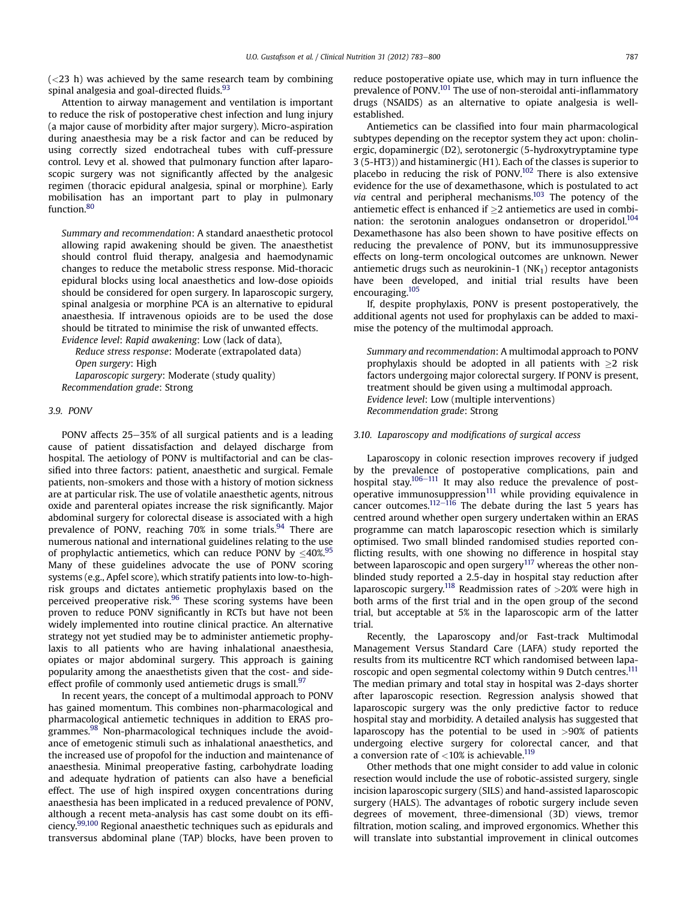$(<$ 23 h) was achieved by the same research team by combining spinal analgesia and goal-directed fluids.<sup>[93](#page-14-0)</sup>

Attention to airway management and ventilation is important to reduce the risk of postoperative chest infection and lung injury (a major cause of morbidity after major surgery). Micro-aspiration during anaesthesia may be a risk factor and can be reduced by using correctly sized endotracheal tubes with cuff-pressure control. Levy et al. showed that pulmonary function after laparoscopic surgery was not significantly affected by the analgesic regimen (thoracic epidural analgesia, spinal or morphine). Early mobilisation has an important part to play in pulmonary function.<sup>[80](#page-14-0)</sup>

Summary and recommendation: A standard anaesthetic protocol allowing rapid awakening should be given. The anaesthetist should control fluid therapy, analgesia and haemodynamic changes to reduce the metabolic stress response. Mid-thoracic epidural blocks using local anaesthetics and low-dose opioids should be considered for open surgery. In laparoscopic surgery, spinal analgesia or morphine PCA is an alternative to epidural anaesthesia. If intravenous opioids are to be used the dose should be titrated to minimise the risk of unwanted effects. Evidence level: Rapid awakening: Low (lack of data),

Reduce stress response: Moderate (extrapolated data) Open surgery: High Laparoscopic surgery: Moderate (study quality)

Recommendation grade: Strong

#### 3.9. PONV

PONV affects  $25-35%$  of all surgical patients and is a leading cause of patient dissatisfaction and delayed discharge from hospital. The aetiology of PONV is multifactorial and can be classified into three factors: patient, anaesthetic and surgical. Female patients, non-smokers and those with a history of motion sickness are at particular risk. The use of volatile anaesthetic agents, nitrous oxide and parenteral opiates increase the risk significantly. Major abdominal surgery for colorectal disease is associated with a high prevalence of PONV, reaching 70% in some trials. $94$  There are numerous national and international guidelines relating to the use of prophylactic antiemetics, which can reduce PONV by  $\leq 40\%$ .<sup>[95](#page-14-0)</sup> Many of these guidelines advocate the use of PONV scoring systems (e.g., Apfel score), which stratify patients into low-to-highrisk groups and dictates antiemetic prophylaxis based on the perceived preoperative risk.<sup>96</sup> These scoring systems have been proven to reduce PONV significantly in RCTs but have not been widely implemented into routine clinical practice. An alternative strategy not yet studied may be to administer antiemetic prophylaxis to all patients who are having inhalational anaesthesia, opiates or major abdominal surgery. This approach is gaining popularity among the anaesthetists given that the cost- and side-effect profile of commonly used antiemetic drugs is small.<sup>[97](#page-14-0)</sup>

In recent years, the concept of a multimodal approach to PONV has gained momentum. This combines non-pharmacological and pharmacological antiemetic techniques in addition to ERAS programmes[.98](#page-14-0) Non-pharmacological techniques include the avoidance of emetogenic stimuli such as inhalational anaesthetics, and the increased use of propofol for the induction and maintenance of anaesthesia. Minimal preoperative fasting, carbohydrate loading and adequate hydration of patients can also have a beneficial effect. The use of high inspired oxygen concentrations during anaesthesia has been implicated in a reduced prevalence of PONV, although a recent meta-analysis has cast some doubt on its efficiency[.99,100](#page-14-0) Regional anaesthetic techniques such as epidurals and transversus abdominal plane (TAP) blocks, have been proven to reduce postoperative opiate use, which may in turn influence the prevalence of PONV.[101](#page-14-0) The use of non-steroidal anti-inflammatory drugs (NSAIDS) as an alternative to opiate analgesia is wellestablished.

Antiemetics can be classified into four main pharmacological subtypes depending on the receptor system they act upon: cholinergic, dopaminergic (D2), serotonergic (5-hydroxytryptamine type 3 (5-HT3)) and histaminergic (H1). Each of the classes is superior to placebo in reducing the risk of PONV[.102](#page-14-0) There is also extensive evidence for the use of dexamethasone, which is postulated to act *via* central and peripheral mechanisms.<sup>103</sup> The potency of the antiemetic effect is enhanced if  $\geq$  antiemetics are used in combi-nation: the serotonin analogues ondansetron or droperidol.<sup>[104](#page-14-0)</sup> Dexamethasone has also been shown to have positive effects on reducing the prevalence of PONV, but its immunosuppressive effects on long-term oncological outcomes are unknown. Newer antiemetic drugs such as neurokinin-1  $(NK_1)$  receptor antagonists have been developed, and initial trial results have been encouraging[.105](#page-14-0)

If, despite prophylaxis, PONV is present postoperatively, the additional agents not used for prophylaxis can be added to maximise the potency of the multimodal approach.

Summary and recommendation: A multimodal approach to PONV prophylaxis should be adopted in all patients with  $\geq$  risk factors undergoing major colorectal surgery. If PONV is present, treatment should be given using a multimodal approach. Evidence level: Low (multiple interventions) Recommendation grade: Strong

#### 3.10. Laparoscopy and modifications of surgical access

Laparoscopy in colonic resection improves recovery if judged by the prevalence of postoperative complications, pain and hospital stay.<sup>[106](#page-14-0)-[111](#page-14-0)</sup> It may also reduce the prevalence of post $o$ perative immunosuppression<sup>[111](#page-14-0)</sup> while providing equivalence in cancer outcomes. $112-116$  $112-116$  $112-116$  The debate during the last 5 years has centred around whether open surgery undertaken within an ERAS programme can match laparoscopic resection which is similarly optimised. Two small blinded randomised studies reported conflicting results, with one showing no difference in hospital stay between laparoscopic and open surgery<sup>[117](#page-15-0)</sup> whereas the other nonblinded study reported a 2.5-day in hospital stay reduction after laparoscopic surgery.<sup>[118](#page-15-0)</sup> Readmission rates of  $>$ 20% were high in both arms of the first trial and in the open group of the second trial, but acceptable at 5% in the laparoscopic arm of the latter trial.

Recently, the Laparoscopy and/or Fast-track Multimodal Management Versus Standard Care (LAFA) study reported the results from its multicentre RCT which randomised between lapa-roscopic and open segmental colectomy within 9 Dutch centres.<sup>[111](#page-14-0)</sup> The median primary and total stay in hospital was 2-days shorter after laparoscopic resection. Regression analysis showed that laparoscopic surgery was the only predictive factor to reduce hospital stay and morbidity. A detailed analysis has suggested that laparoscopy has the potential to be used in  $>90\%$  of patients undergoing elective surgery for colorectal cancer, and that a conversion rate of  $<\!10\%$  is achievable.  $^{119}$ 

Other methods that one might consider to add value in colonic resection would include the use of robotic-assisted surgery, single incision laparoscopic surgery (SILS) and hand-assisted laparoscopic surgery (HALS). The advantages of robotic surgery include seven degrees of movement, three-dimensional (3D) views, tremor filtration, motion scaling, and improved ergonomics. Whether this will translate into substantial improvement in clinical outcomes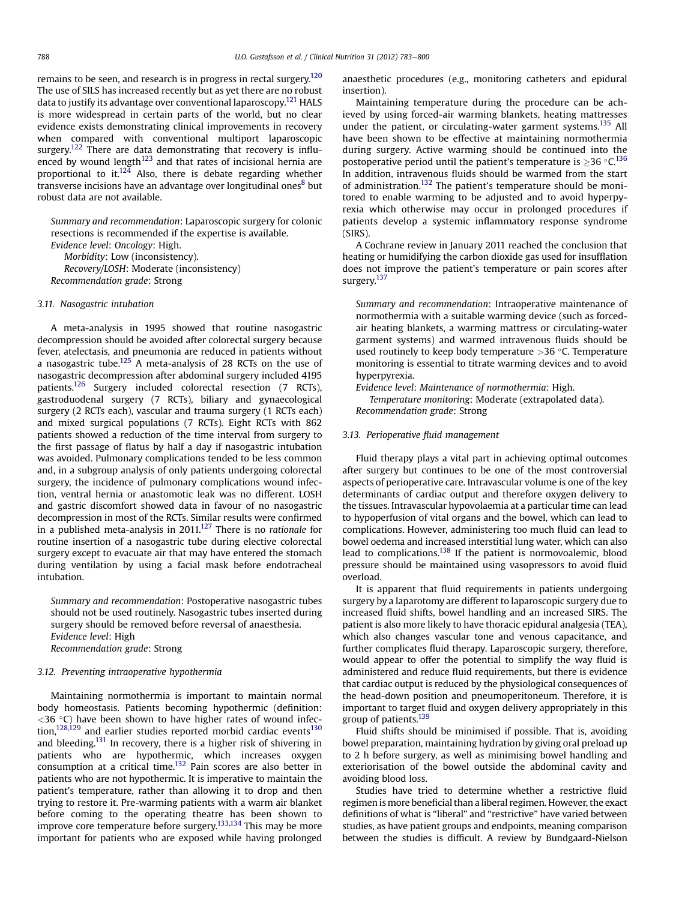remains to be seen, and research is in progress in rectal surgery.<sup>[120](#page-15-0)</sup> The use of SILS has increased recently but as yet there are no robust data to justify its advantage over conventional laparoscopy.<sup>121</sup> HALS is more widespread in certain parts of the world, but no clear evidence exists demonstrating clinical improvements in recovery when compared with conventional multiport laparoscopic surgery.<sup>[122](#page-15-0)</sup> There are data demonstrating that recovery is influenced by wound length<sup>123</sup> and that rates of incisional hernia are proportional to it.<sup>124</sup> Also, there is debate regarding whether transverse incisions have an advantage over longitudinal ones<sup>8</sup> but robust data are not available.

Summary and recommendation: Laparoscopic surgery for colonic resections is recommended if the expertise is available. Evidence level: Oncology: High.

Morbidity: Low (inconsistency). Recovery/LOSH: Moderate (inconsistency) Recommendation grade: Strong

#### 3.11. Nasogastric intubation

A meta-analysis in 1995 showed that routine nasogastric decompression should be avoided after colorectal surgery because fever, atelectasis, and pneumonia are reduced in patients without a nasogastric tube.[125](#page-15-0) A meta-analysis of 28 RCTs on the use of nasogastric decompression after abdominal surgery included 4195 patients.<sup>126</sup> Surgery included colorectal resection (7 RCTs), gastroduodenal surgery (7 RCTs), biliary and gynaecological surgery (2 RCTs each), vascular and trauma surgery (1 RCTs each) and mixed surgical populations (7 RCTs). Eight RCTs with 862 patients showed a reduction of the time interval from surgery to the first passage of flatus by half a day if nasogastric intubation was avoided. Pulmonary complications tended to be less common and, in a subgroup analysis of only patients undergoing colorectal surgery, the incidence of pulmonary complications wound infection, ventral hernia or anastomotic leak was no different. LOSH and gastric discomfort showed data in favour of no nasogastric decompression in most of the RCTs. Similar results were confirmed in a published meta-analysis in 2011.<sup>127</sup> There is no *rationale* for routine insertion of a nasogastric tube during elective colorectal surgery except to evacuate air that may have entered the stomach during ventilation by using a facial mask before endotracheal intubation.

Summary and recommendation: Postoperative nasogastric tubes should not be used routinely. Nasogastric tubes inserted during surgery should be removed before reversal of anaesthesia. Evidence level: High Recommendation grade: Strong

#### 3.12. Preventing intraoperative hypothermia

Maintaining normothermia is important to maintain normal body homeostasis. Patients becoming hypothermic (definition:  $<$ 36 °C) have been shown to have higher rates of wound infection, $128,129$  and earlier studies reported morbid cardiac events $130$ and bleeding.<sup>131</sup> In recovery, there is a higher risk of shivering in patients who are hypothermic, which increases oxygen consumption at a critical time.<sup>132</sup> Pain scores are also better in patients who are not hypothermic. It is imperative to maintain the patient's temperature, rather than allowing it to drop and then trying to restore it. Pre-warming patients with a warm air blanket before coming to the operating theatre has been shown to improve core temperature before surgery.[133,134](#page-15-0) This may be more important for patients who are exposed while having prolonged anaesthetic procedures (e.g., monitoring catheters and epidural insertion).

Maintaining temperature during the procedure can be achieved by using forced-air warming blankets, heating mattresses under the patient, or circulating-water garment systems.<sup>[135](#page-15-0)</sup> All have been shown to be effective at maintaining normothermia during surgery. Active warming should be continued into the postoperative period until the patient's temperature is  $\geq$ 36 °C.<sup>[136](#page-15-0)</sup> In addition, intravenous fluids should be warmed from the start of administration.<sup>132</sup> The patient's temperature should be monitored to enable warming to be adjusted and to avoid hyperpyrexia which otherwise may occur in prolonged procedures if patients develop a systemic inflammatory response syndrome (SIRS).

A Cochrane review in January 2011 reached the conclusion that heating or humidifying the carbon dioxide gas used for insufflation does not improve the patient's temperature or pain scores after surgery.<sup>[137](#page-15-0)</sup>

Summary and recommendation: Intraoperative maintenance of normothermia with a suitable warming device (such as forcedair heating blankets, a warming mattress or circulating-water garment systems) and warmed intravenous fluids should be used routinely to keep body temperature  $>$ 36 °C. Temperature monitoring is essential to titrate warming devices and to avoid hyperpyrexia.

Evidence level: Maintenance of normothermia: High.

Temperature monitoring: Moderate (extrapolated data). Recommendation grade: Strong

#### 3.13. Perioperative fluid management

Fluid therapy plays a vital part in achieving optimal outcomes after surgery but continues to be one of the most controversial aspects of perioperative care. Intravascular volume is one of the key determinants of cardiac output and therefore oxygen delivery to the tissues. Intravascular hypovolaemia at a particular time can lead to hypoperfusion of vital organs and the bowel, which can lead to complications. However, administering too much fluid can lead to bowel oedema and increased interstitial lung water, which can also lead to complications.<sup>138</sup> If the patient is normovoalemic, blood pressure should be maintained using vasopressors to avoid fluid overload.

It is apparent that fluid requirements in patients undergoing surgery by a laparotomy are different to laparoscopic surgery due to increased fluid shifts, bowel handling and an increased SIRS. The patient is also more likely to have thoracic epidural analgesia (TEA), which also changes vascular tone and venous capacitance, and further complicates fluid therapy. Laparoscopic surgery, therefore, would appear to offer the potential to simplify the way fluid is administered and reduce fluid requirements, but there is evidence that cardiac output is reduced by the physiological consequences of the head-down position and pneumoperitoneum. Therefore, it is important to target fluid and oxygen delivery appropriately in this group of patients.[139](#page-15-0)

Fluid shifts should be minimised if possible. That is, avoiding bowel preparation, maintaining hydration by giving oral preload up to 2 h before surgery, as well as minimising bowel handling and exteriorisation of the bowel outside the abdominal cavity and avoiding blood loss.

Studies have tried to determine whether a restrictive fluid regimen is more beneficial than a liberal regimen. However, the exact definitions of what is "liberal" and "restrictive" have varied between studies, as have patient groups and endpoints, meaning comparison between the studies is difficult. A review by Bundgaard-Nielson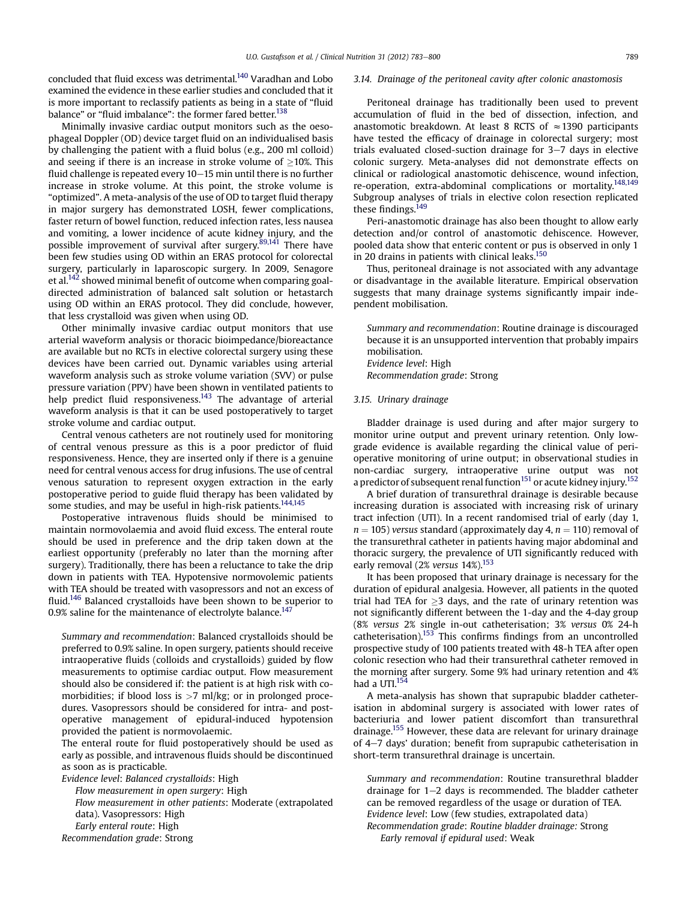concluded that fluid excess was detrimental[.140](#page-15-0) Varadhan and Lobo examined the evidence in these earlier studies and concluded that it is more important to reclassify patients as being in a state of "fluid balance" or "fluid imbalance": the former fared better.<sup>[138](#page-15-0)</sup>

Minimally invasive cardiac output monitors such as the oesophageal Doppler (OD) device target fluid on an individualised basis by challenging the patient with a fluid bolus (e.g., 200 ml colloid) and seeing if there is an increase in stroke volume of  $\geq$ 10%. This fluid challenge is repeated every  $10-15$  min until there is no further increase in stroke volume. At this point, the stroke volume is "optimized". A meta-analysis of the use of OD to target fluid therapy in major surgery has demonstrated LOSH, fewer complications, faster return of bowel function, reduced infection rates, less nausea and vomiting, a lower incidence of acute kidney injury, and the possible improvement of survival after surgery.<sup>[89,141](#page-14-0)</sup> There have been few studies using OD within an ERAS protocol for colorectal surgery, particularly in laparoscopic surgery. In 2009, Senagore et al[.142](#page-15-0) showed minimal benefit of outcome when comparing goaldirected administration of balanced salt solution or hetastarch using OD within an ERAS protocol. They did conclude, however, that less crystalloid was given when using OD.

Other minimally invasive cardiac output monitors that use arterial waveform analysis or thoracic bioimpedance/bioreactance are available but no RCTs in elective colorectal surgery using these devices have been carried out. Dynamic variables using arterial waveform analysis such as stroke volume variation (SVV) or pulse pressure variation (PPV) have been shown in ventilated patients to help predict fluid responsiveness.<sup>[143](#page-15-0)</sup> The advantage of arterial waveform analysis is that it can be used postoperatively to target stroke volume and cardiac output.

Central venous catheters are not routinely used for monitoring of central venous pressure as this is a poor predictor of fluid responsiveness. Hence, they are inserted only if there is a genuine need for central venous access for drug infusions. The use of central venous saturation to represent oxygen extraction in the early postoperative period to guide fluid therapy has been validated by some studies, and may be useful in high-risk patients.<sup>[144,145](#page-15-0)</sup>

Postoperative intravenous fluids should be minimised to maintain normovolaemia and avoid fluid excess. The enteral route should be used in preference and the drip taken down at the earliest opportunity (preferably no later than the morning after surgery). Traditionally, there has been a reluctance to take the drip down in patients with TEA. Hypotensive normovolemic patients with TEA should be treated with vasopressors and not an excess of fluid.<sup>[146](#page-15-0)</sup> Balanced crystalloids have been shown to be superior to 0.9% saline for the maintenance of electrolyte balance. $147$ 

Summary and recommendation: Balanced crystalloids should be preferred to 0.9% saline. In open surgery, patients should receive intraoperative fluids (colloids and crystalloids) guided by flow measurements to optimise cardiac output. Flow measurement should also be considered if: the patient is at high risk with comorbidities; if blood loss is  $>7$  ml/kg; or in prolonged procedures. Vasopressors should be considered for intra- and postoperative management of epidural-induced hypotension provided the patient is normovolaemic.

The enteral route for fluid postoperatively should be used as early as possible, and intravenous fluids should be discontinued as soon as is practicable.

Evidence level: Balanced crystalloids: High

Flow measurement in open surgery: High

Flow measurement in other patients: Moderate (extrapolated data). Vasopressors: High

Early enteral route: High

Recommendation grade: Strong

#### 3.14. Drainage of the peritoneal cavity after colonic anastomosis

Peritoneal drainage has traditionally been used to prevent accumulation of fluid in the bed of dissection, infection, and anastomotic breakdown. At least 8 RCTS of  $\approx$  1390 participants have tested the efficacy of drainage in colorectal surgery; most trials evaluated closed-suction drainage for  $3-7$  days in elective colonic surgery. Meta-analyses did not demonstrate effects on clinical or radiological anastomotic dehiscence, wound infection, re-operation, extra-abdominal complications or mortality.<sup>148,149</sup> Subgroup analyses of trials in elective colon resection replicated these findings.<sup>[149](#page-15-0)</sup>

Peri-anastomotic drainage has also been thought to allow early detection and/or control of anastomotic dehiscence. However, pooled data show that enteric content or pus is observed in only 1 in 20 drains in patients with clinical leaks.<sup>150</sup>

Thus, peritoneal drainage is not associated with any advantage or disadvantage in the available literature. Empirical observation suggests that many drainage systems significantly impair independent mobilisation.

Summary and recommendation: Routine drainage is discouraged because it is an unsupported intervention that probably impairs mobilisation. Evidence level: High

Recommendation grade: Strong

## 3.15. Urinary drainage

Bladder drainage is used during and after major surgery to monitor urine output and prevent urinary retention. Only lowgrade evidence is available regarding the clinical value of perioperative monitoring of urine output; in observational studies in non-cardiac surgery, intraoperative urine output was not a predictor of subsequent renal function<sup>[151](#page-15-0)</sup> or acute kidney injury.<sup>[152](#page-15-0)</sup>

A brief duration of transurethral drainage is desirable because increasing duration is associated with increasing risk of urinary tract infection (UTI). In a recent randomised trial of early (day 1,  $n = 105$ ) versus standard (approximately day 4,  $n = 110$ ) removal of the transurethral catheter in patients having major abdominal and thoracic surgery, the prevalence of UTI significantly reduced with early removal (2% versus 14%).<sup>153</sup>

It has been proposed that urinary drainage is necessary for the duration of epidural analgesia. However, all patients in the quoted trial had TEA for  $\geq$ 3 days, and the rate of urinary retention was not significantly different between the 1-day and the 4-day group (8% versus 2% single in-out catheterisation; 3% versus 0% 24-h catheterisation). $153$  This confirms findings from an uncontrolled prospective study of 100 patients treated with 48-h TEA after open colonic resection who had their transurethral catheter removed in the morning after surgery. Some 9% had urinary retention and 4% had a  $UTI.<sup>15</sup>$ 

A meta-analysis has shown that suprapubic bladder catheterisation in abdominal surgery is associated with lower rates of bacteriuria and lower patient discomfort than transurethral drainage[.155](#page-15-0) However, these data are relevant for urinary drainage of  $4-7$  days' duration; benefit from suprapubic catheterisation in short-term transurethral drainage is uncertain.

Summary and recommendation: Routine transurethral bladder drainage for  $1-2$  days is recommended. The bladder catheter can be removed regardless of the usage or duration of TEA. Evidence level: Low (few studies, extrapolated data) Recommendation grade: Routine bladder drainage: Strong Early removal if epidural used: Weak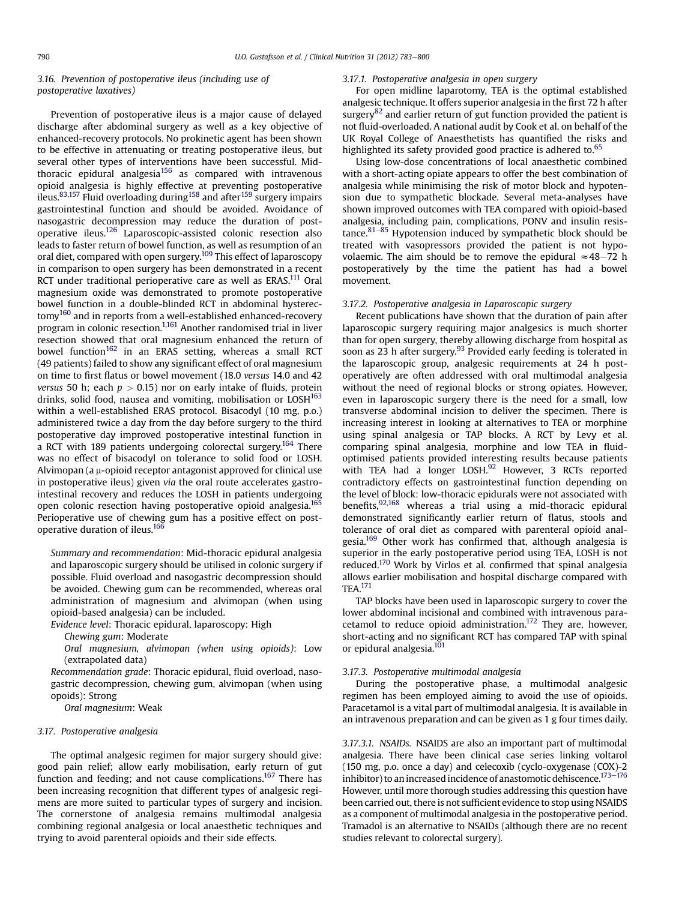## 3.16. Prevention of postoperative ileus (including use of postoperative laxatives)

Prevention of postoperative ileus is a major cause of delayed discharge after abdominal surgery as well as a key objective of enhanced-recovery protocols. No prokinetic agent has been shown to be effective in attenuating or treating postoperative ileus, but several other types of interventions have been successful. Mid-thoracic epidural analgesia<sup>[156](#page-15-0)</sup> as compared with intravenous opioid analgesia is highly effective at preventing postoperative ileus.<sup>83,157</sup> Fluid overloading during<sup>[158](#page-15-0)</sup> and after<sup>[159](#page-15-0)</sup> surgery impairs gastrointestinal function and should be avoided. Avoidance of nasogastric decompression may reduce the duration of postoperative ileus[.126](#page-15-0) Laparoscopic-assisted colonic resection also leads to faster return of bowel function, as well as resumption of an oral diet, compared with open surgery.[109](#page-14-0) This effect of laparoscopy in comparison to open surgery has been demonstrated in a recent RCT under traditional perioperative care as well as ERAS.<sup>[111](#page-14-0)</sup> Oral magnesium oxide was demonstrated to promote postoperative bowel function in a double-blinded RCT in abdominal hysterectomy<sup>160</sup> and in reports from a well-established enhanced-recovery program in colonic resection.<sup>1,161</sup> Another randomised trial in liver resection showed that oral magnesium enhanced the return of bowel function<sup>[162](#page-15-0)</sup> in an ERAS setting, whereas a small RCT (49 patients) failed to show any significant effect of oral magnesium on time to first flatus or bowel movement (18.0 versus 14.0 and 42 versus 50 h; each  $p > 0.15$ ) nor on early intake of fluids, protein drinks, solid food, nausea and vomiting, mobilisation or LOSH<sup>[163](#page-15-0)</sup> within a well-established ERAS protocol. Bisacodyl (10 mg, p.o.) administered twice a day from the day before surgery to the third postoperative day improved postoperative intestinal function in a RCT with 189 patients undergoing colorectal surgery.<sup>[164](#page-15-0)</sup> There was no effect of bisacodyl on tolerance to solid food or LOSH. Alvimopan (a  $\mu$ -opioid receptor antagonist approved for clinical use in postoperative ileus) given via the oral route accelerates gastrointestinal recovery and reduces the LOSH in patients undergoing open colonic resection having postoperative opioid analgesia[.165](#page-15-0) Perioperative use of chewing gum has a positive effect on postoperative duration of ileus.<sup>166</sup>

Summary and recommendation: Mid-thoracic epidural analgesia and laparoscopic surgery should be utilised in colonic surgery if possible. Fluid overload and nasogastric decompression should be avoided. Chewing gum can be recommended, whereas oral administration of magnesium and alvimopan (when using opioid-based analgesia) can be included.

Evidence level: Thoracic epidural, laparoscopy: High

Chewing gum: Moderate

Oral magnesium, alvimopan (when using opioids): Low (extrapolated data)

Recommendation grade: Thoracic epidural, fluid overload, nasogastric decompression, chewing gum, alvimopan (when using opoids): Strong

Oral magnesium: Weak

#### 3.17. Postoperative analgesia

The optimal analgesic regimen for major surgery should give: good pain relief; allow early mobilisation, early return of gut function and feeding; and not cause complications.<sup>[167](#page-16-0)</sup> There has been increasing recognition that different types of analgesic regimens are more suited to particular types of surgery and incision. The cornerstone of analgesia remains multimodal analgesia combining regional analgesia or local anaesthetic techniques and trying to avoid parenteral opioids and their side effects.

#### 3.17.1. Postoperative analgesia in open surgery

For open midline laparotomy, TEA is the optimal established analgesic technique. It offers superior analgesia in the first 72 h after surgery $82$  and earlier return of gut function provided the patient is not fluid-overloaded. A national audit by Cook et al. on behalf of the UK Royal College of Anaesthetists has quantified the risks and highlighted its safety provided good practice is adhered to.<sup>[65](#page-14-0)</sup>

Using low-dose concentrations of local anaesthetic combined with a short-acting opiate appears to offer the best combination of analgesia while minimising the risk of motor block and hypotension due to sympathetic blockade. Several meta-analyses have shown improved outcomes with TEA compared with opioid-based analgesia, including pain, complications, PONV and insulin resistance. $81-85$  $81-85$  Hypotension induced by sympathetic block should be treated with vasopressors provided the patient is not hypovolaemic. The aim should be to remove the epidural  $\approx$  48–72 h postoperatively by the time the patient has had a bowel movement.

#### 3.17.2. Postoperative analgesia in Laparoscopic surgery

Recent publications have shown that the duration of pain after laparoscopic surgery requiring major analgesics is much shorter than for open surgery, thereby allowing discharge from hospital as soon as 23 h after surgery.<sup>[93](#page-14-0)</sup> Provided early feeding is tolerated in the laparoscopic group, analgesic requirements at 24 h postoperatively are often addressed with oral multimodal analgesia without the need of regional blocks or strong opiates. However, even in laparoscopic surgery there is the need for a small, low transverse abdominal incision to deliver the specimen. There is increasing interest in looking at alternatives to TEA or morphine using spinal analgesia or TAP blocks. A RCT by Levy et al. comparing spinal analgesia, morphine and low TEA in fluidoptimised patients provided interesting results because patients with TEA had a longer LOSH.<sup>[92](#page-14-0)</sup> However, 3 RCTs reported contradictory effects on gastrointestinal function depending on the level of block: low-thoracic epidurals were not associated with benefits, [92,168](#page-14-0) whereas a trial using a mid-thoracic epidural demonstrated significantly earlier return of flatus, stools and tolerance of oral diet as compared with parenteral opioid analgesia.[169](#page-16-0) Other work has confirmed that, although analgesia is superior in the early postoperative period using TEA, LOSH is not reduced[.170](#page-16-0) Work by Virlos et al. confirmed that spinal analgesia allows earlier mobilisation and hospital discharge compared with TEA[.171](#page-16-0)

TAP blocks have been used in laparoscopic surgery to cover the lower abdominal incisional and combined with intravenous paracetamol to reduce opioid administration.<sup>172</sup> They are, however, short-acting and no significant RCT has compared TAP with spinal or epidural analgesia.<sup>[101](#page-14-0)</sup>

## 3.17.3. Postoperative multimodal analgesia

During the postoperative phase, a multimodal analgesic regimen has been employed aiming to avoid the use of opioids. Paracetamol is a vital part of multimodal analgesia. It is available in an intravenous preparation and can be given as 1 g four times daily.

3.17.3.1. NSAIDs. NSAIDS are also an important part of multimodal analgesia. There have been clinical case series linking voltarol (150 mg, p.o. once a day) and celecoxib (cyclo-oxygenase (COX)-2 inhibitor) to an increased incidence of anastomotic dehiscence.<sup>173-[176](#page-16-0)</sup> However, until more thorough studies addressing this question have been carried out, there is not sufficient evidence to stop using NSAIDS as a component of multimodal analgesia in the postoperative period. Tramadol is an alternative to NSAIDs (although there are no recent studies relevant to colorectal surgery).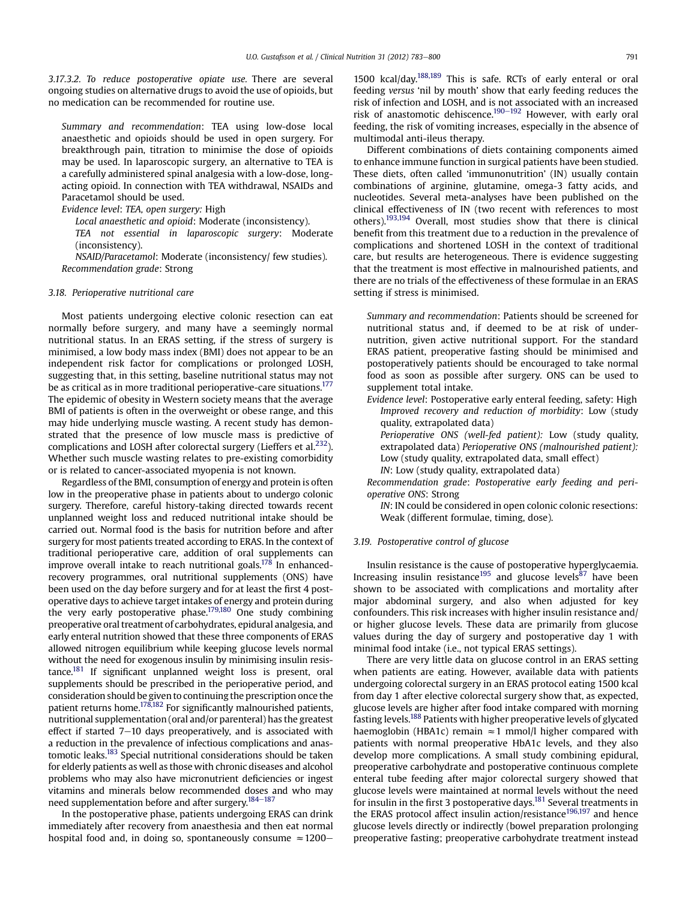3.17.3.2. To reduce postoperative opiate use. There are several ongoing studies on alternative drugs to avoid the use of opioids, but no medication can be recommended for routine use.

Summary and recommendation: TEA using low-dose local anaesthetic and opioids should be used in open surgery. For breakthrough pain, titration to minimise the dose of opioids may be used. In laparoscopic surgery, an alternative to TEA is a carefully administered spinal analgesia with a low-dose, longacting opioid. In connection with TEA withdrawal, NSAIDs and Paracetamol should be used.

Evidence level: TEA, open surgery: High

Local anaesthetic and opioid: Moderate (inconsistency).

TEA not essential in laparoscopic surgery: Moderate (inconsistency).

NSAID/Paracetamol: Moderate (inconsistency/ few studies). Recommendation grade: Strong

#### 3.18. Perioperative nutritional care

Most patients undergoing elective colonic resection can eat normally before surgery, and many have a seemingly normal nutritional status. In an ERAS setting, if the stress of surgery is minimised, a low body mass index (BMI) does not appear to be an independent risk factor for complications or prolonged LOSH, suggesting that, in this setting, baseline nutritional status may not be as critical as in more traditional perioperative-care situations.<sup>[177](#page-16-0)</sup> The epidemic of obesity in Western society means that the average BMI of patients is often in the overweight or obese range, and this may hide underlying muscle wasting. A recent study has demonstrated that the presence of low muscle mass is predictive of complications and LOSH after colorectal surgery (Lieffers et al. $^{232}$ ). Whether such muscle wasting relates to pre-existing comorbidity or is related to cancer-associated myopenia is not known.

Regardless of the BMI, consumption of energy and protein is often low in the preoperative phase in patients about to undergo colonic surgery. Therefore, careful history-taking directed towards recent unplanned weight loss and reduced nutritional intake should be carried out. Normal food is the basis for nutrition before and after surgery for most patients treated according to ERAS. In the context of traditional perioperative care, addition of oral supplements can improve overall intake to reach nutritional goals.<sup>178</sup> In enhancedrecovery programmes, oral nutritional supplements (ONS) have been used on the day before surgery and for at least the first 4 postoperative days to achieve target intakes of energy and protein during the very early postoperative phase.<sup>179,180</sup> One study combining preoperative oral treatment of carbohydrates, epidural analgesia, and early enteral nutrition showed that these three components of ERAS allowed nitrogen equilibrium while keeping glucose levels normal without the need for exogenous insulin by minimising insulin resistance.<sup>181</sup> If significant unplanned weight loss is present, oral supplements should be prescribed in the perioperative period, and consideration should be given to continuing the prescription once the patient returns home.[178,182](#page-16-0) For significantly malnourished patients, nutritional supplementation (oral and/or parenteral) has the greatest effect if started  $7-10$  days preoperatively, and is associated with a reduction in the prevalence of infectious complications and anastomotic leaks[.183](#page-16-0) Special nutritional considerations should be taken for elderly patients as well as those with chronic diseases and alcohol problems who may also have micronutrient deficiencies or ingest vitamins and minerals below recommended doses and who may need supplementation before and after surgery.<sup>[184](#page-16-0)-[187](#page-16-0)</sup>

In the postoperative phase, patients undergoing ERAS can drink immediately after recovery from anaesthesia and then eat normal hospital food and, in doing so, spontaneously consume  $\approx$  1200–

1500 kcal/day[.188,189](#page-16-0) This is safe. RCTs of early enteral or oral feeding versus 'nil by mouth' show that early feeding reduces the risk of infection and LOSH, and is not associated with an increased risk of anastomotic dehiscence.<sup>190–[192](#page-16-0)</sup> However, with early oral feeding, the risk of vomiting increases, especially in the absence of multimodal anti-ileus therapy.

Different combinations of diets containing components aimed to enhance immune function in surgical patients have been studied. These diets, often called 'immunonutrition' (IN) usually contain combinations of arginine, glutamine, omega-3 fatty acids, and nucleotides. Several meta-analyses have been published on the clinical effectiveness of IN (two recent with references to most others)[.193,194](#page-16-0) Overall, most studies show that there is clinical benefit from this treatment due to a reduction in the prevalence of complications and shortened LOSH in the context of traditional care, but results are heterogeneous. There is evidence suggesting that the treatment is most effective in malnourished patients, and there are no trials of the effectiveness of these formulae in an ERAS setting if stress is minimised.

Summary and recommendation: Patients should be screened for nutritional status and, if deemed to be at risk of undernutrition, given active nutritional support. For the standard ERAS patient, preoperative fasting should be minimised and postoperatively patients should be encouraged to take normal food as soon as possible after surgery. ONS can be used to supplement total intake.

Evidence level: Postoperative early enteral feeding, safety: High Improved recovery and reduction of morbidity: Low (study quality, extrapolated data)

Perioperative ONS (well-fed patient): Low (study quality, extrapolated data) Perioperative ONS (malnourished patient): Low (study quality, extrapolated data, small effect) IN: Low (study quality, extrapolated data)

Recommendation grade: Postoperative early feeding and perioperative ONS: Strong

IN: IN could be considered in open colonic colonic resections: Weak (different formulae, timing, dose).

## 3.19. Postoperative control of glucose

Insulin resistance is the cause of postoperative hyperglycaemia. Increasing insulin resistance<sup>[195](#page-16-0)</sup> and glucose levels<sup>[87](#page-14-0)</sup> have been shown to be associated with complications and mortality after major abdominal surgery, and also when adjusted for key confounders. This risk increases with higher insulin resistance and/ or higher glucose levels. These data are primarily from glucose values during the day of surgery and postoperative day 1 with minimal food intake (i.e., not typical ERAS settings).

There are very little data on glucose control in an ERAS setting when patients are eating. However, available data with patients undergoing colorectal surgery in an ERAS protocol eating 1500 kcal from day 1 after elective colorectal surgery show that, as expected, glucose levels are higher after food intake compared with morning fasting levels.[188](#page-16-0) Patients with higher preoperative levels of glycated haemoglobin (HBA1c) remain  $\approx$  1 mmol/l higher compared with patients with normal preoperative HbA1c levels, and they also develop more complications. A small study combining epidural, preoperative carbohydrate and postoperative continuous complete enteral tube feeding after major colorectal surgery showed that glucose levels were maintained at normal levels without the need for insulin in the first 3 postoperative days.<sup>181</sup> Several treatments in the ERAS protocol affect insulin action/resistance<sup>[196,197](#page-16-0)</sup> and hence glucose levels directly or indirectly (bowel preparation prolonging preoperative fasting; preoperative carbohydrate treatment instead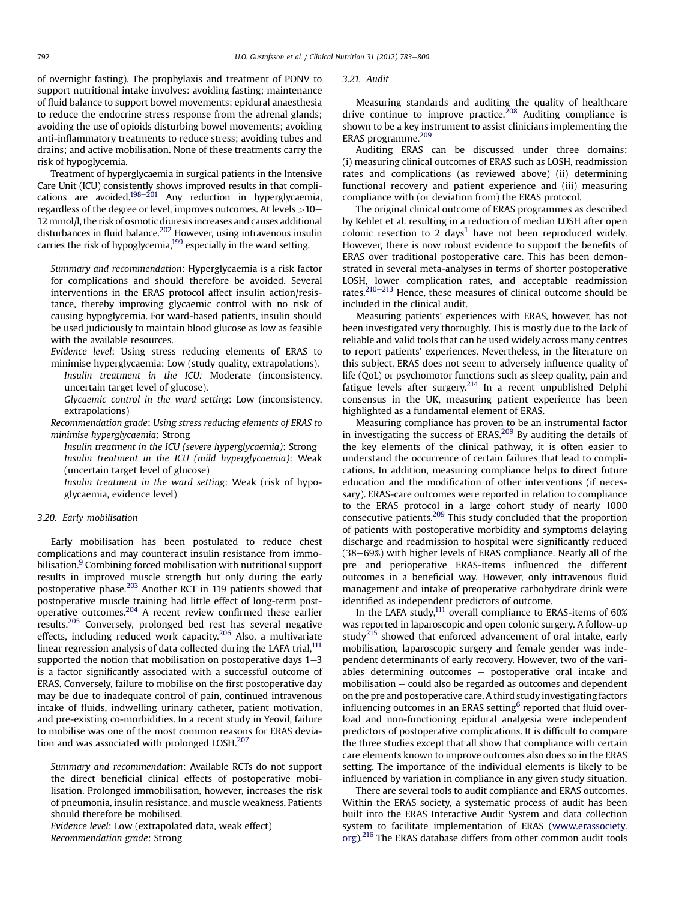of overnight fasting). The prophylaxis and treatment of PONV to support nutritional intake involves: avoiding fasting; maintenance of fluid balance to support bowel movements; epidural anaesthesia to reduce the endocrine stress response from the adrenal glands; avoiding the use of opioids disturbing bowel movements; avoiding anti-inflammatory treatments to reduce stress; avoiding tubes and drains; and active mobilisation. None of these treatments carry the risk of hypoglycemia.

Treatment of hyperglycaemia in surgical patients in the Intensive Care Unit (ICU) consistently shows improved results in that compli-cations are avoided.<sup>198–[201](#page-16-0)</sup> Any reduction in hyperglycaemia, regardless of the degree or level, improves outcomes. At levels  $>10-$ 12 mmol/l, the risk of osmotic diuresis increases and causes additional disturbances in fluid balance.[202](#page-16-0) However, using intravenous insulin carries the risk of hypoglycemia, $199$  especially in the ward setting.

Summary and recommendation: Hyperglycaemia is a risk factor for complications and should therefore be avoided. Several interventions in the ERAS protocol affect insulin action/resistance, thereby improving glycaemic control with no risk of causing hypoglycemia. For ward-based patients, insulin should be used judiciously to maintain blood glucose as low as feasible with the available resources.

Evidence level: Using stress reducing elements of ERAS to minimise hyperglycaemia: Low (study quality, extrapolations).

Insulin treatment in the ICU: Moderate (inconsistency, uncertain target level of glucose).

Glycaemic control in the ward setting: Low (inconsistency, extrapolations)

Recommendation grade: Using stress reducing elements of ERAS to minimise hyperglycaemia: Strong

Insulin treatment in the ICU (severe hyperglycaemia): Strong Insulin treatment in the ICU (mild hyperglycaemia): Weak (uncertain target level of glucose)

Insulin treatment in the ward setting: Weak (risk of hypoglycaemia, evidence level)

#### 3.20. Early mobilisation

Early mobilisation has been postulated to reduce chest complications and may counteract insulin resistance from immo-bilisation.<sup>[9](#page-13-0)</sup> Combining forced mobilisation with nutritional support results in improved muscle strength but only during the early postoperative phase.[203](#page-16-0) Another RCT in 119 patients showed that postoperative muscle training had little effect of long-term post-operative outcomes.<sup>[204](#page-16-0)</sup> A recent review confirmed these earlier results.[205](#page-16-0) Conversely, prolonged bed rest has several negative effects, including reduced work capacity.<sup>206</sup> Also, a multivariate linear regression analysis of data collected during the LAFA trial, $^{111}$  $^{111}$  $^{111}$ supported the notion that mobilisation on postoperative days  $1-3$ is a factor significantly associated with a successful outcome of ERAS. Conversely, failure to mobilise on the first postoperative day may be due to inadequate control of pain, continued intravenous intake of fluids, indwelling urinary catheter, patient motivation, and pre-existing co-morbidities. In a recent study in Yeovil, failure to mobilise was one of the most common reasons for ERAS devia-tion and was associated with prolonged LOSH.<sup>[207](#page-16-0)</sup>

Summary and recommendation: Available RCTs do not support the direct beneficial clinical effects of postoperative mobilisation. Prolonged immobilisation, however, increases the risk of pneumonia, insulin resistance, and muscle weakness. Patients should therefore be mobilised.

Evidence level: Low (extrapolated data, weak effect) Recommendation grade: Strong

3.21. Audit

Measuring standards and auditing the quality of healthcare drive continue to improve practice.<sup>[208](#page-16-0)</sup> Auditing compliance is shown to be a key instrument to assist clinicians implementing the ERAS programme[.209](#page-16-0)

Auditing ERAS can be discussed under three domains: (i) measuring clinical outcomes of ERAS such as LOSH, readmission rates and complications (as reviewed above) (ii) determining functional recovery and patient experience and (iii) measuring compliance with (or deviation from) the ERAS protocol.

The original clinical outcome of ERAS programmes as described by Kehlet et al. resulting in a reduction of median LOSH after open colonic resection to 2 days<sup>1</sup> have not been reproduced widely. However, there is now robust evidence to support the benefits of ERAS over traditional postoperative care. This has been demonstrated in several meta-analyses in terms of shorter postoperative LOSH, lower complication rates, and acceptable readmission rates. $210-213$  $210-213$  $210-213$  Hence, these measures of clinical outcome should be included in the clinical audit.

Measuring patients' experiences with ERAS, however, has not been investigated very thoroughly. This is mostly due to the lack of reliable and valid tools that can be used widely across many centres to report patients' experiences. Nevertheless, in the literature on this subject, ERAS does not seem to adversely influence quality of life (QoL) or psychomotor functions such as sleep quality, pain and fatigue levels after surgery.[214](#page-16-0) In a recent unpublished Delphi consensus in the UK, measuring patient experience has been highlighted as a fundamental element of ERAS.

Measuring compliance has proven to be an instrumental factor in investigating the success of  $ERAS<sup>209</sup>$  $ERAS<sup>209</sup>$  $ERAS<sup>209</sup>$  By auditing the details of the key elements of the clinical pathway, it is often easier to understand the occurrence of certain failures that lead to complications. In addition, measuring compliance helps to direct future education and the modification of other interventions (if necessary). ERAS-care outcomes were reported in relation to compliance to the ERAS protocol in a large cohort study of nearly 1000 consecutive patients[.209](#page-16-0) This study concluded that the proportion of patients with postoperative morbidity and symptoms delaying discharge and readmission to hospital were significantly reduced (38-69%) with higher levels of ERAS compliance. Nearly all of the pre and perioperative ERAS-items influenced the different outcomes in a beneficial way. However, only intravenous fluid management and intake of preoperative carbohydrate drink were identified as independent predictors of outcome.

In the LAFA study,[111](#page-14-0) overall compliance to ERAS-items of 60% was reported in laparoscopic and open colonic surgery. A follow-up study<sup>[215](#page-16-0)</sup> showed that enforced advancement of oral intake, early mobilisation, laparoscopic surgery and female gender was independent determinants of early recovery. However, two of the variables determining outcomes  $-$  postoperative oral intake and  $m$ obilisation  $-$  could also be regarded as outcomes and dependent on the pre and postoperative care. A third study investigating factors influencing outcomes in an ERAS setting $6$  reported that fluid overload and non-functioning epidural analgesia were independent predictors of postoperative complications. It is difficult to compare the three studies except that all show that compliance with certain care elements known to improve outcomes also does so in the ERAS setting. The importance of the individual elements is likely to be influenced by variation in compliance in any given study situation.

There are several tools to audit compliance and ERAS outcomes. Within the ERAS society, a systematic process of audit has been built into the ERAS Interactive Audit System and data collection system to facilitate implementation of ERAS ([www.erassociety.](http://www.erassociety.org) [org](http://www.erassociety.org)).<sup>[216](#page-16-0)</sup> The ERAS database differs from other common audit tools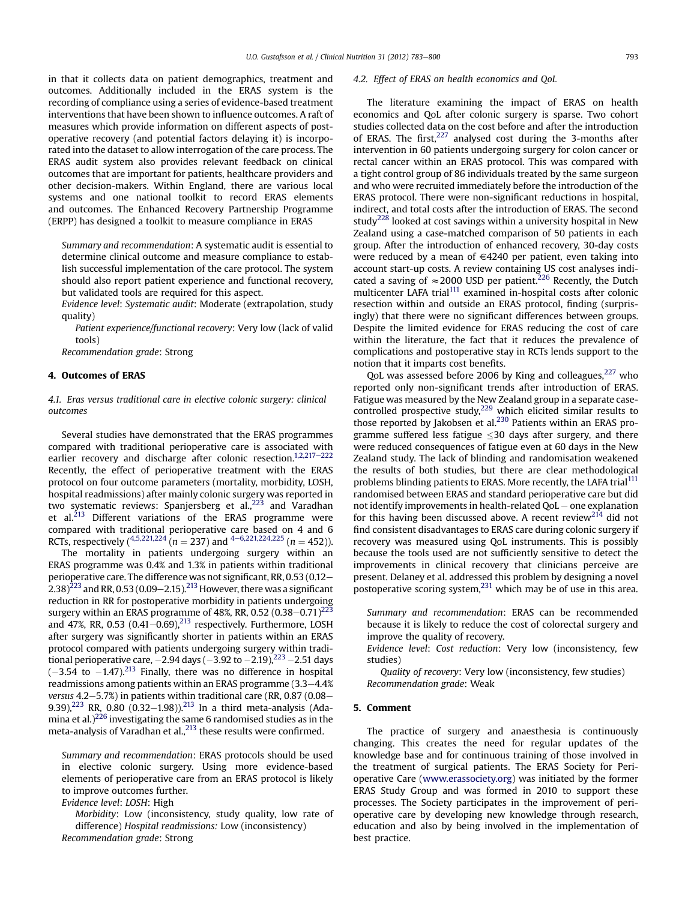in that it collects data on patient demographics, treatment and outcomes. Additionally included in the ERAS system is the recording of compliance using a series of evidence-based treatment interventions that have been shown to influence outcomes. A raft of measures which provide information on different aspects of postoperative recovery (and potential factors delaying it) is incorporated into the dataset to allow interrogation of the care process. The ERAS audit system also provides relevant feedback on clinical outcomes that are important for patients, healthcare providers and other decision-makers. Within England, there are various local systems and one national toolkit to record ERAS elements and outcomes. The Enhanced Recovery Partnership Programme (ERPP) has designed a toolkit to measure compliance in ERAS

Summary and recommendation: A systematic audit is essential to determine clinical outcome and measure compliance to establish successful implementation of the care protocol. The system should also report patient experience and functional recovery, but validated tools are required for this aspect.

Evidence level: Systematic audit: Moderate (extrapolation, study quality)

Patient experience/functional recovery: Very low (lack of valid tools)

Recommendation grade: Strong

# 4. Outcomes of ERAS

4.1. Eras versus traditional care in elective colonic surgery: clinical outcomes

Several studies have demonstrated that the ERAS programmes compared with traditional perioperative care is associated with earlier recovery and discharge after colonic resection.<sup>[1,2,217](#page-13-0)-[222](#page-13-0)</sup> Recently, the effect of perioperative treatment with the ERAS protocol on four outcome parameters (mortality, morbidity, LOSH, hospital readmissions) after mainly colonic surgery was reported in two systematic reviews: Spanjersberg et al.,[223](#page-17-0) and Varadhan et al. $^{213}$  $^{213}$  $^{213}$  Different variations of the ERAS programme were compared with traditional perioperative care based on 4 and 6 RCTs, respectively  $\binom{4,5,221,224}{n}$  $\binom{4,5,221,224}{n}$  $\binom{4,5,221,224}{n}$  ( $n = 237$ ) and  $\binom{4-6,221,224,225}{n}$  $\binom{4-6,221,224,225}{n}$  $\binom{4-6,221,224,225}{n}$  $\binom{4-6,221,224,225}{n}$  $\binom{4-6,221,224,225}{n}$  ( $n = 452$ )).

The mortality in patients undergoing surgery within an ERAS programme was 0.4% and 1.3% in patients within traditional perioperative care. The difference was not significant, RR, 0.53 (0.12- $2.38)^{223}$  and RR, 0.53 (0.09–2.15).<sup>213</sup> However, there was a significant reduction in RR for postoperative morbidity in patients undergoing surgery within an ERAS programme of 48%, RR, 0.52  $(0.38-0.71)^{22}$ and 47%, RR, 0.53  $(0.41-0.69)$ ,<sup>213</sup> respectively. Furthermore, LOSH after surgery was significantly shorter in patients within an ERAS protocol compared with patients undergoing surgery within traditional perioperative care,  $-2.94$  days ( $-3.92$  to  $-2.19$ ),  $223 - 2.51$  $223 - 2.51$  days  $(-3.54 \text{ to } -1.47)^{213}$  $(-3.54 \text{ to } -1.47)^{213}$  $(-3.54 \text{ to } -1.47)^{213}$  Finally, there was no difference in hospital readmissions among patients within an ERAS programme  $(3.3-4.4%$ versus  $4.2-5.7\%$ ) in patients within traditional care (RR, 0.87 (0.08– 9.39),<sup>223</sup> RR, 0.80 (0.32–1.98)).<sup>213</sup> In a third meta-analysis (Adamina et al.) $^{226}$  $^{226}$  $^{226}$  investigating the same 6 randomised studies as in the meta-analysis of Varadhan et al.[,213](#page-16-0) these results were confirmed.

Summary and recommendation: ERAS protocols should be used in elective colonic surgery. Using more evidence-based elements of perioperative care from an ERAS protocol is likely to improve outcomes further.

Evidence level: LOSH: High

Morbidity: Low (inconsistency, study quality, low rate of difference) Hospital readmissions: Low (inconsistency) Recommendation grade: Strong

#### 4.2. Effect of ERAS on health economics and QoL

The literature examining the impact of ERAS on health economics and QoL after colonic surgery is sparse. Two cohort studies collected data on the cost before and after the introduction of ERAS. The first, $227$  analysed cost during the 3-months after intervention in 60 patients undergoing surgery for colon cancer or rectal cancer within an ERAS protocol. This was compared with a tight control group of 86 individuals treated by the same surgeon and who were recruited immediately before the introduction of the ERAS protocol. There were non-significant reductions in hospital, indirect, and total costs after the introduction of ERAS. The second study<sup>228</sup> looked at cost savings within a university hospital in New Zealand using a case-matched comparison of 50 patients in each group. After the introduction of enhanced recovery, 30-day costs were reduced by a mean of  $\in$ 4240 per patient, even taking into account start-up costs. A review containing US cost analyses indicated a saving of  $\approx$  2000 USD per patient.<sup>[226](#page-17-0)</sup> Recently, the Dutch multicenter LAFA trial<sup>111</sup> examined in-hospital costs after colonic resection within and outside an ERAS protocol, finding (surprisingly) that there were no significant differences between groups. Despite the limited evidence for ERAS reducing the cost of care within the literature, the fact that it reduces the prevalence of complications and postoperative stay in RCTs lends support to the notion that it imparts cost benefits.

QoL was assessed before 2006 by King and colleagues,<sup>227</sup> who reported only non-significant trends after introduction of ERAS. Fatigue was measured by the New Zealand group in a separate case-controlled prospective study,<sup>[229](#page-17-0)</sup> which elicited similar results to those reported by Jakobsen et al. $^{230}$  $^{230}$  $^{230}$  Patients within an ERAS programme suffered less fatigue  $\leq$ 30 days after surgery, and there were reduced consequences of fatigue even at 60 days in the New Zealand study. The lack of blinding and randomisation weakened the results of both studies, but there are clear methodological problems blinding patients to ERAS. More recently, the LAFA trial<sup>[111](#page-14-0)</sup> randomised between ERAS and standard perioperative care but did not identify improvements in health-related  $QoL$  – one explanation for this having been discussed above. A recent review<sup>[214](#page-16-0)</sup> did not find consistent disadvantages to ERAS care during colonic surgery if recovery was measured using QoL instruments. This is possibly because the tools used are not sufficiently sensitive to detect the improvements in clinical recovery that clinicians perceive are present. Delaney et al. addressed this problem by designing a novel postoperative scoring system, $^{231}$  $^{231}$  $^{231}$  which may be of use in this area.

Summary and recommendation: ERAS can be recommended because it is likely to reduce the cost of colorectal surgery and improve the quality of recovery.

Evidence level: Cost reduction: Very low (inconsistency, few studies)

Quality of recovery: Very low (inconsistency, few studies) Recommendation grade: Weak

# 5. Comment

The practice of surgery and anaesthesia is continuously changing. This creates the need for regular updates of the knowledge base and for continuous training of those involved in the treatment of surgical patients. The ERAS Society for Perioperative Care ([www.erassociety.org](http://www.erassociety.org)) was initiated by the former ERAS Study Group and was formed in 2010 to support these processes. The Society participates in the improvement of perioperative care by developing new knowledge through research, education and also by being involved in the implementation of best practice.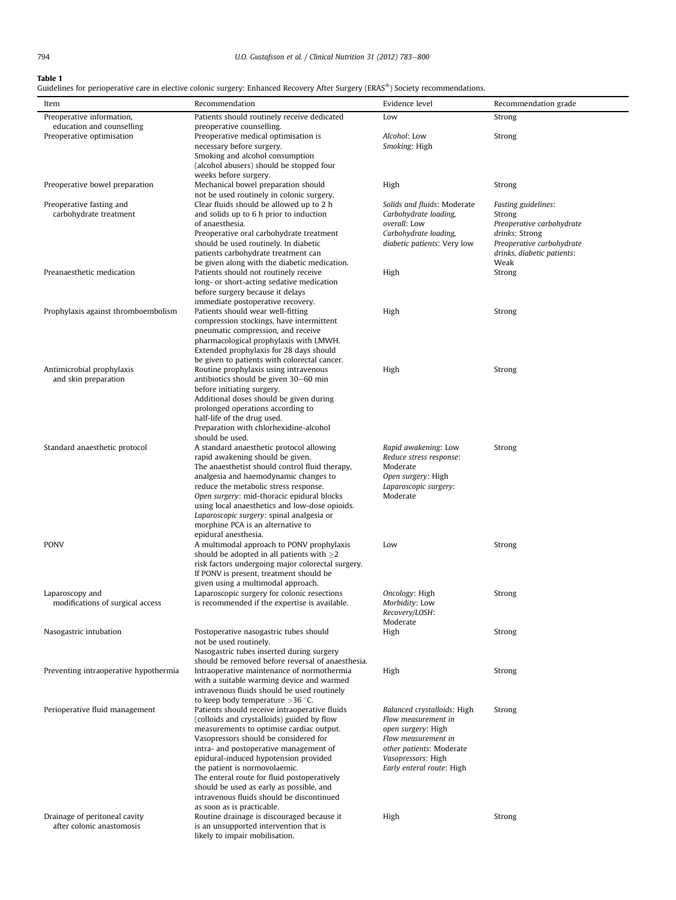<span id="page-11-0"></span>

# Table 1

Guidelines for perioperative care in elective colonic surgery: Enhanced Recovery After Surgery (ERAS) Society recommendations.

| Item                                                       | ັ<br>Recommendation                                                                      | Evidence level                                 | Recommendation grade                                    |
|------------------------------------------------------------|------------------------------------------------------------------------------------------|------------------------------------------------|---------------------------------------------------------|
| Preoperative information,                                  | Patients should routinely receive dedicated                                              | Low                                            | Strong                                                  |
| education and counselling                                  | preoperative counselling.                                                                |                                                |                                                         |
| Preoperative optimisation                                  | Preoperative medical optimisation is                                                     | Alcohol: Low                                   | Strong                                                  |
|                                                            | necessary before surgery.                                                                | Smoking: High                                  |                                                         |
|                                                            | Smoking and alcohol consumption                                                          |                                                |                                                         |
|                                                            | (alcohol abusers) should be stopped four<br>weeks before surgery.                        |                                                |                                                         |
| Preoperative bowel preparation                             | Mechanical bowel preparation should                                                      | High                                           | Strong                                                  |
|                                                            | not be used routinely in colonic surgery.                                                |                                                |                                                         |
| Preoperative fasting and                                   | Clear fluids should be allowed up to 2 h                                                 | Solids and fluids: Moderate                    | <b>Fasting guidelines:</b>                              |
| carbohydrate treatment                                     | and solids up to 6 h prior to induction                                                  | Carbohydrate loading,                          | Strong                                                  |
|                                                            | of anaesthesia.                                                                          | overall: Low                                   | Preoperative carbohydrate                               |
|                                                            | Preoperative oral carbohydrate treatment                                                 | Carbohydrate loading,                          | drinks: Strong                                          |
|                                                            | should be used routinely. In diabetic<br>patients carbohydrate treatment can             | diabetic patients: Very low                    | Preoperative carbohydrate<br>drinks, diabetic patients: |
|                                                            | be given along with the diabetic medication.                                             |                                                | Weak                                                    |
| Preanaesthetic medication                                  | Patients should not routinely receive                                                    | High                                           | Strong                                                  |
|                                                            | long- or short-acting sedative medication                                                |                                                |                                                         |
|                                                            | before surgery because it delays                                                         |                                                |                                                         |
|                                                            | immediate postoperative recovery.                                                        |                                                |                                                         |
| Prophylaxis against thromboembolism                        | Patients should wear well-fitting<br>compression stockings, have intermittent            | High                                           | Strong                                                  |
|                                                            | pneumatic compression, and receive                                                       |                                                |                                                         |
|                                                            | pharmacological prophylaxis with LMWH.                                                   |                                                |                                                         |
|                                                            | Extended prophylaxis for 28 days should                                                  |                                                |                                                         |
|                                                            | be given to patients with colorectal cancer.                                             |                                                |                                                         |
| Antimicrobial prophylaxis                                  | Routine prophylaxis using intravenous                                                    | High                                           | Strong                                                  |
| and skin preparation                                       | antibiotics should be given 30-60 min                                                    |                                                |                                                         |
|                                                            | before initiating surgery.<br>Additional doses should be given during                    |                                                |                                                         |
|                                                            | prolonged operations according to                                                        |                                                |                                                         |
|                                                            | half-life of the drug used.                                                              |                                                |                                                         |
|                                                            | Preparation with chlorhexidine-alcohol                                                   |                                                |                                                         |
|                                                            | should be used.                                                                          |                                                |                                                         |
| Standard anaesthetic protocol                              | A standard anaesthetic protocol allowing                                                 | Rapid awakening: Low                           | Strong                                                  |
|                                                            | rapid awakening should be given.                                                         | Reduce stress response:                        |                                                         |
|                                                            | The anaesthetist should control fluid therapy,<br>analgesia and haemodynamic changes to  | Moderate<br>Open surgery: High                 |                                                         |
|                                                            | reduce the metabolic stress response.                                                    | Laparoscopic surgery:                          |                                                         |
|                                                            | Open surgery: mid-thoracic epidural blocks                                               | Moderate                                       |                                                         |
|                                                            | using local anaesthetics and low-dose opioids.                                           |                                                |                                                         |
|                                                            | Laparoscopic surgery: spinal analgesia or                                                |                                                |                                                         |
|                                                            | morphine PCA is an alternative to                                                        |                                                |                                                         |
| <b>PONV</b>                                                | epidural anesthesia.<br>A multimodal approach to PONV prophylaxis                        | Low                                            | Strong                                                  |
|                                                            | should be adopted in all patients with $\geq$ 2                                          |                                                |                                                         |
|                                                            | risk factors undergoing major colorectal surgery.                                        |                                                |                                                         |
|                                                            | If PONV is present, treatment should be                                                  |                                                |                                                         |
|                                                            | given using a multimodal approach.                                                       |                                                |                                                         |
| Laparoscopy and                                            | Laparoscopic surgery for colonic resections                                              | Oncology: High                                 | Strong                                                  |
| modifications of surgical access                           | is recommended if the expertise is available.                                            | Morbidity: Low                                 |                                                         |
|                                                            |                                                                                          | Recovery/LOSH:<br>Moderate                     |                                                         |
| Nasogastric intubation                                     | Postoperative nasogastric tubes should                                                   | High                                           | Strong                                                  |
|                                                            | not be used routinely.                                                                   |                                                |                                                         |
|                                                            | Nasogastric tubes inserted during surgery                                                |                                                |                                                         |
|                                                            | should be removed before reversal of anaesthesia.                                        |                                                |                                                         |
| Preventing intraoperative hypothermia                      | Intraoperative maintenance of normothermia                                               | High                                           | Strong                                                  |
|                                                            | with a suitable warming device and warmed<br>intravenous fluids should be used routinely |                                                |                                                         |
|                                                            | to keep body temperature $>$ 36 °C.                                                      |                                                |                                                         |
| Perioperative fluid management                             | Patients should receive intraoperative fluids                                            | Balanced crystalloids: High                    | Strong                                                  |
|                                                            | (colloids and crystalloids) guided by flow                                               | Flow measurement in                            |                                                         |
|                                                            | measurements to optimise cardiac output.                                                 | open surgery: High                             |                                                         |
|                                                            | Vasopressors should be considered for                                                    | Flow measurement in                            |                                                         |
|                                                            | intra- and postoperative management of<br>epidural-induced hypotension provided          | other patients: Moderate<br>Vasopressors: High |                                                         |
|                                                            | the patient is normovolaemic.                                                            | Early enteral route: High                      |                                                         |
|                                                            | The enteral route for fluid postoperatively                                              |                                                |                                                         |
|                                                            | should be used as early as possible, and                                                 |                                                |                                                         |
|                                                            | intravenous fluids should be discontinued                                                |                                                |                                                         |
|                                                            | as soon as is practicable.                                                               |                                                | Strong                                                  |
| Drainage of peritoneal cavity<br>after colonic anastomosis | Routine drainage is discouraged because it<br>is an unsupported intervention that is     | High                                           |                                                         |
|                                                            | likely to impair mobilisation.                                                           |                                                |                                                         |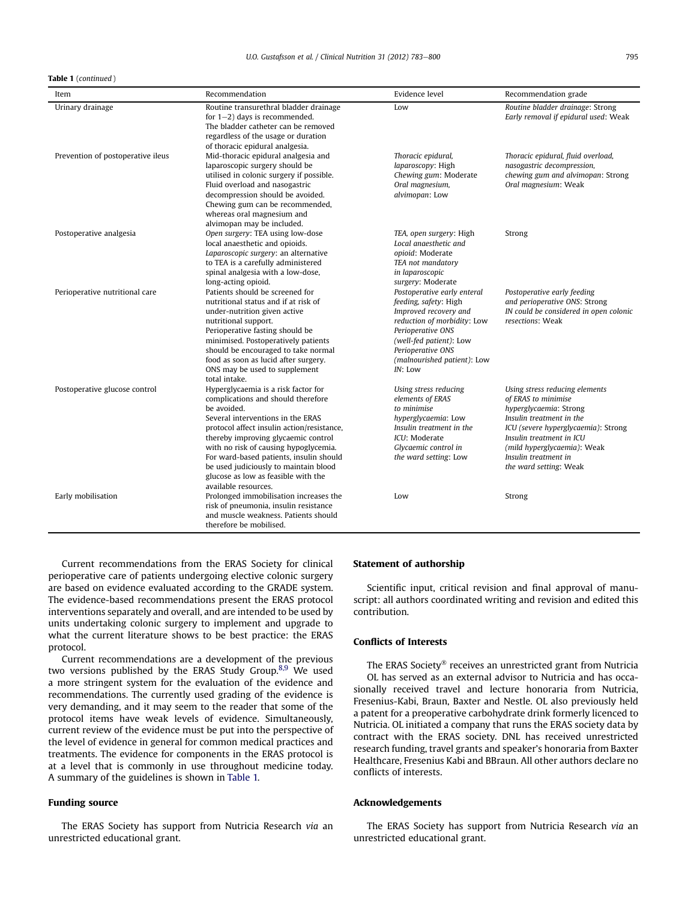## Table 1 (continued )

| Item                              | Recommendation                                                                                                                                                                                                                                                                                                                                                                                                 | Evidence level                                                                                                                                                                                                              | Recommendation grade                                                                                                                                                                                                                                            |
|-----------------------------------|----------------------------------------------------------------------------------------------------------------------------------------------------------------------------------------------------------------------------------------------------------------------------------------------------------------------------------------------------------------------------------------------------------------|-----------------------------------------------------------------------------------------------------------------------------------------------------------------------------------------------------------------------------|-----------------------------------------------------------------------------------------------------------------------------------------------------------------------------------------------------------------------------------------------------------------|
| Urinary drainage                  | Routine transurethral bladder drainage<br>for $1-2$ ) days is recommended.<br>The bladder catheter can be removed<br>regardless of the usage or duration<br>of thoracic epidural analgesia.                                                                                                                                                                                                                    | Low                                                                                                                                                                                                                         | Routine bladder drainage: Strong<br>Early removal if epidural used: Weak                                                                                                                                                                                        |
| Prevention of postoperative ileus | Mid-thoracic epidural analgesia and<br>laparoscopic surgery should be<br>utilised in colonic surgery if possible.<br>Fluid overload and nasogastric<br>decompression should be avoided.<br>Chewing gum can be recommended,<br>whereas oral magnesium and<br>alvimopan may be included.                                                                                                                         | Thoracic epidural,<br>laparoscopy: High<br>Chewing gum: Moderate<br>Oral magnesium,<br>alvimopan: Low                                                                                                                       | Thoracic epidural, fluid overload,<br>nasogastric decompression,<br>chewing gum and alvimopan: Strong<br>Oral magnesium: Weak                                                                                                                                   |
| Postoperative analgesia           | Open surgery: TEA using low-dose<br>local anaesthetic and opioids.<br>Laparoscopic surgery: an alternative<br>to TEA is a carefully administered<br>spinal analgesia with a low-dose,<br>long-acting opioid.                                                                                                                                                                                                   | TEA, open surgery: High<br>Local anaesthetic and<br>opioid: Moderate<br>TEA not mandatory<br>in laparoscopic<br>surgery: Moderate                                                                                           | Strong                                                                                                                                                                                                                                                          |
| Perioperative nutritional care    | Patients should be screened for<br>nutritional status and if at risk of<br>under-nutrition given active<br>nutritional support.<br>Perioperative fasting should be<br>minimised. Postoperatively patients<br>should be encouraged to take normal<br>food as soon as lucid after surgery.<br>ONS may be used to supplement<br>total intake.                                                                     | Postoperative early enteral<br>feeding, safety: High<br>Improved recovery and<br>reduction of morbidity: Low<br>Perioperative ONS<br>(well-fed patient): Low<br>Perioperative ONS<br>(malnourished patient): Low<br>IN: Low | Postoperative early feeding<br>and perioperative ONS: Strong<br>IN could be considered in open colonic<br>resections: Weak                                                                                                                                      |
| Postoperative glucose control     | Hyperglycaemia is a risk factor for<br>complications and should therefore<br>be avoided.<br>Several interventions in the ERAS<br>protocol affect insulin action/resistance,<br>thereby improving glycaemic control<br>with no risk of causing hypoglycemia.<br>For ward-based patients, insulin should<br>be used judiciously to maintain blood<br>glucose as low as feasible with the<br>available resources. | Using stress reducing<br>elements of ERAS<br>to minimise<br>hyperglycaemia: Low<br>Insulin treatment in the<br>ICU: Moderate<br>Glycaemic control in<br>the ward setting: Low                                               | Using stress reducing elements<br>of ERAS to minimise<br>hyperglycaemia: Strong<br>Insulin treatment in the<br>ICU (severe hyperglycaemia): Strong<br>Insulin treatment in ICU<br>(mild hyperglycaemia): Weak<br>Insulin treatment in<br>the ward setting: Weak |
| Early mobilisation                | Prolonged immobilisation increases the<br>risk of pneumonia, insulin resistance<br>and muscle weakness. Patients should<br>therefore be mobilised.                                                                                                                                                                                                                                                             | Low                                                                                                                                                                                                                         | Strong                                                                                                                                                                                                                                                          |

Current recommendations from the ERAS Society for clinical perioperative care of patients undergoing elective colonic surgery are based on evidence evaluated according to the GRADE system. The evidence-based recommendations present the ERAS protocol interventions separately and overall, and are intended to be used by units undertaking colonic surgery to implement and upgrade to what the current literature shows to be best practice: the ERAS protocol.

Current recommendations are a development of the previous two versions published by the ERAS Study Group.<sup>[8,9](#page-13-0)</sup> We used a more stringent system for the evaluation of the evidence and recommendations. The currently used grading of the evidence is very demanding, and it may seem to the reader that some of the protocol items have weak levels of evidence. Simultaneously, current review of the evidence must be put into the perspective of the level of evidence in general for common medical practices and treatments. The evidence for components in the ERAS protocol is at a level that is commonly in use throughout medicine today. A summary of the guidelines is shown in [Table 1.](#page-11-0)

# Funding source

The ERAS Society has support from Nutricia Research via an unrestricted educational grant.

#### Statement of authorship

Scientific input, critical revision and final approval of manuscript: all authors coordinated writing and revision and edited this contribution.

## Conflicts of Interests

The ERAS Society<sup>®</sup> receives an unrestricted grant from Nutricia OL has served as an external advisor to Nutricia and has occasionally received travel and lecture honoraria from Nutricia, Fresenius-Kabi, Braun, Baxter and Nestle. OL also previously held a patent for a preoperative carbohydrate drink formerly licenced to Nutricia. OL initiated a company that runs the ERAS society data by contract with the ERAS society. DNL has received unrestricted research funding, travel grants and speaker's honoraria from Baxter Healthcare, Fresenius Kabi and BBraun. All other authors declare no conflicts of interests.

# Acknowledgements

The ERAS Society has support from Nutricia Research via an unrestricted educational grant.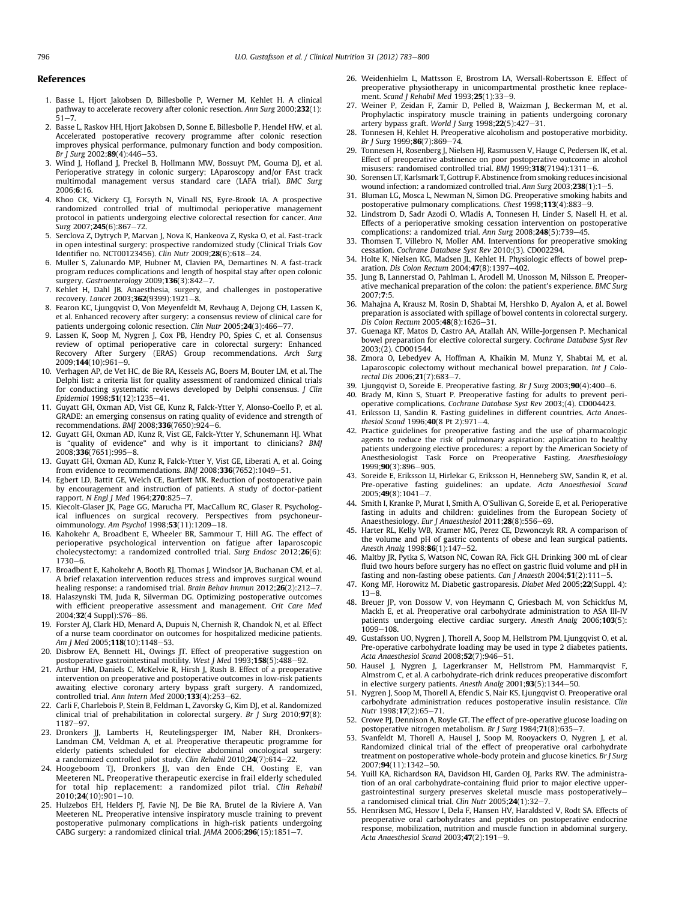#### <span id="page-13-0"></span>References

- 1. Basse L, Hjort Jakobsen D, Billesbolle P, Werner M, Kehlet H. A clinical pathway to accelerate recovery after colonic resection. Ann Surg 2000;232(1):  $51 - 7$
- 2. Basse L, Raskov HH, Hjort Jakobsen D, Sonne E, Billesbolle P, Hendel HW, et al. Accelerated postoperative recovery programme after colonic resection improves physical performance, pulmonary function and body composition. Br J Surg 2002;89(4):446-53.
- 3. Wind J, Hofland J, Preckel B, Hollmann MW, Bossuyt PM, Gouma DJ, et al. Perioperative strategy in colonic surgery; LAparoscopy and/or FAst track multimodal management versus standard care (LAFA trial). BMC Surg 2006;6:16.
- 4. Khoo CK, Vickery CJ, Forsyth N, Vinall NS, Eyre-Brook IA. A prospective randomized controlled trial of multimodal perioperative management protocol in patients undergoing elective colorectal resection for cancer. Ann Surg 2007:245(6):867-72.
- 5. Serclova Z, Dytrych P, Marvan J, Nova K, Hankeova Z, Ryska O, et al. Fast-track in open intestinal surgery: prospective randomized study (Clinical Trials Gov Identifier no. NCT00123456). Clin Nutr 2009;28(6):618-24.
- 6. Muller S, Zalunardo MP, Hubner M, Clavien PA, Demartines N. A fast-track program reduces complications and length of hospital stay after open colonic surgery. Gastroenterology 2009;136(3):842-7.
- 7. Kehlet H, Dahl JB. Anaesthesia, surgery, and challenges in postoperative recovery. Lancet 2003;362(9399):1921-8.
- 8. Fearon KC, Ljungqvist O, Von Meyenfeldt M, Revhaug A, Dejong CH, Lassen K, et al. Enhanced recovery after surgery: a consensus review of clinical care for patients undergoing colonic resection. Clin Nutr 2005;24(3):466-77.
- 9. Lassen K, Soop M, Nygren J, Cox PB, Hendry PO, Spies C, et al. Consensus review of optimal perioperative care in colorectal surgery: Enhanced Recovery After Surgery (ERAS) Group recommendations. Arch Surg 2009;144(10):961-9.
- 10. Verhagen AP, de Vet HC, de Bie RA, Kessels AG, Boers M, Bouter LM, et al. The Delphi list: a criteria list for quality assessment of randomized clinical trials for conducting systematic reviews developed by Delphi consensus. J Clin Epidemiol 1998;51(12):1235-41.
- 11. Guyatt GH, Oxman AD, Vist GE, Kunz R, Falck-Ytter Y, Alonso-Coello P, et al. GRADE: an emerging consensus on rating quality of evidence and strength of recommendations. BMJ 2008;336(7650):924-6.
- 12. Guyatt GH, Oxman AD, Kunz R, Vist GE, Falck-Ytter Y, Schunemann HJ. What "quality of evidence" and why is it important to clinicians? BMJ 2008:336(7651):995-8.
- 13. Guyatt GH, Oxman AD, Kunz R, Falck-Ytter Y, Vist GE, Liberati A, et al. Going from evidence to recommendations. BMJ 2008;336(7652):1049-51.
- 14. Egbert LD, Battit GE, Welch CE, Bartlett MK. Reduction of postoperative pain by encouragement and instruction of patients. A study of doctor-patient rapport. N Engl J Med 1964;270:825-7.
- 15. Kiecolt-Glaser JK, Page GG, Marucha PT, MacCallum RC, Glaser R. Psychological influences on surgical recovery. Perspectives from psychoneuroimmunology. Am Psychol 1998;53(11):1209-18.
- 16. Kahokehr A, Broadbent E, Wheeler BR, Sammour T, Hill AG. The effect of perioperative psychological intervention on fatigue after laparoscopic cholecystectomy: a randomized controlled trial. Surg Endosc 2012;26(6):  $1730 - 6$
- 17. Broadbent E, Kahokehr A, Booth RJ, Thomas J, Windsor JA, Buchanan CM, et al. A brief relaxation intervention reduces stress and improves surgical wound healing response: a randomised trial. Brain Behav Immun 2012; $26(2):212-7$ .
- 18. Halaszynski TM, Juda R, Silverman DG. Optimizing postoperative outcomes with efficient preoperative assessment and management. Crit Care Med 2004;32(4 Suppl): S76-86.
- 19. Forster AJ, Clark HD, Menard A, Dupuis N, Chernish R, Chandok N, et al. Effect of a nurse team coordinator on outcomes for hospitalized medicine patients. Am I Med 2005:118(10):1148-53.
- 20. Disbrow EA, Bennett HL, Owings JT. Effect of preoperative suggestion on postoperative gastrointestinal motility. West J Med  $1993;158(5);488-92$ .
- 21. Arthur HM, Daniels C, McKelvie R, Hirsh J, Rush B. Effect of a preoperative intervention on preoperative and postoperative outcomes in low-risk patients awaiting elective coronary artery bypass graft surgery. A randomized, controlled trial. Ann Intern Med 2000;133(4):253-62.
- 22. Carli F, Charlebois P, Stein B, Feldman L, Zavorsky G, Kim DJ, et al. Randomized clinical trial of prehabilitation in colorectal surgery. Br J Surg 2010;97(8): 1187-97.
- 23. Dronkers JJ, Lamberts H, Reutelingsperger JM, Naber RH, Dronkers-Landman CM, Veldman A, et al. Preoperative therapeutic programme for elderly patients scheduled for elective abdominal oncological surgery: a randomized controlled pilot study. Clin Rehabil 2010;24(7):614–22.
- 24. Hoogeboom TJ, Dronkers JJ, van den Ende CH, Oosting E, van Meeteren NL. Preoperative therapeutic exercise in frail elderly scheduled for total hip replacement: a randomized pilot trial. Clin Rehabil  $2010:24(10):901-10.$
- 25. Hulzebos EH, Helders PJ, Favie NJ, De Bie RA, Brutel de la Riviere A, Van Meeteren NL. Preoperative intensive inspiratory muscle training to prevent postoperative pulmonary complications in high-risk patients undergoing<br>CABG surgery: a randomized clinical trial. JAMA 2006;**296**(15):1851–7.
- 26. Weidenhielm L, Mattsson E, Brostrom LA, Wersall-Robertsson E. Effect of preoperative physiotherapy in unicompartmental prosthetic knee replacement. Scand J Rehabil Med 1993;25(1):33-9.
- 27. Weiner P, Zeidan F, Zamir D, Pelled B, Waizman J, Beckerman M, et al. Prophylactic inspiratory muscle training in patients undergoing coronary artery bypass graft. World J Surg  $1998;22(5):427-31$ .
- 28. Tonnesen H, Kehlet H. Preoperative alcoholism and postoperative morbidity. Br J Surg 1999;  $86(7)$ :  $869 - 74$ .
- 29. Tonnesen H, Rosenberg J, Nielsen HJ, Rasmussen V, Hauge C, Pedersen JK, et al. Effect of preoperative abstinence on poor postoperative outcome in alcohol misusers: randomised controlled trial.  $BMI$  1999: **318**(7194): 1311-6.
- 30. Sorensen LT, Karlsmark T, Gottrup F. Abstinence from smoking reduces incisional wound infection: a randomized controlled trial. Ann Surg  $2003:238(1):1-5$
- 31. Bluman LG, Mosca L, Newman N, Simon DG. Preoperative smoking habits and postoperative pulmonary complications. Chest  $1998:113(4):883-9$ .
- 32. Lindstrom D, Sadr Azodi O, Wladis A, Tonnesen H, Linder S, Nasell H, et al. Effects of a perioperative smoking cessation intervention on postoperative complications: a randomized trial. Ann Surg  $2008;248(5):739-45.$
- 33. Thomsen T, Villebro N, Moller AM. Interventions for preoperative smoking cessation. Cochrane Database Syst Rev 2010;(3). CD002294.
- 34. Holte K, Nielsen KG, Madsen JL, Kehlet H. Physiologic effects of bowel preparation. Dis Colon Rectum 2004;47(8):1397-402.
- 35. Jung B, Lannerstad O, Pahlman L, Arodell M, Unosson M, Nilsson E. Preoperative mechanical preparation of the colon: the patient's experience. BMC Surg  $2007.7.5$
- 36. Mahajna A, Krausz M, Rosin D, Shabtai M, Hershko D, Ayalon A, et al. Bowel preparation is associated with spillage of bowel contents in colorectal surgery. Dis Colon Rectum 2005;48(8):1626-31.
- 37. Guenaga KF, Matos D, Castro AA, Atallah AN, Wille-Jorgensen P. Mechanical bowel preparation for elective colorectal surgery. Cochrane Database Syst Rev 2003;(2). CD001544.
- 38. Zmora O, Lebedyev A, Hoffman A, Khaikin M, Munz Y, Shabtai M, et al. Laparoscopic colectomy without mechanical bowel preparation. Int J Colorectal Dis 2006;21(7):683-7.
- 39. Ljungqvist O, Soreide E. Preoperative fasting. Br J Surg  $2003;90(4):400-6$ .
- 40. Brady M, Kinn S, Stuart P. Preoperative fasting for adults to prevent perioperative complications. Cochrane Database Syst Rev 2003;(4). CD004423.
- 41. Eriksson LI, Sandin R. Fasting guidelines in different countries. Acta Anaesthesiol Scand 1996;40(8 Pt 2):971-4.
- 42. Practice guidelines for preoperative fasting and the use of pharmacologic agents to reduce the risk of pulmonary aspiration: application to healthy patients undergoing elective procedures: a report by the American Society of Anesthesiologist Task Force on Preoperative Fasting. Anesthesiology 1999;90(3):896-905.
- 43. Soreide E, Eriksson LI, Hirlekar G, Eriksson H, Henneberg SW, Sandin R, et al. Pre-operative fasting guidelines: an update. Acta Anaesthesiol Scand  $2005;49(8):1041-7.$
- 44. Smith I, Kranke P, Murat I, Smith A, O'Sullivan G, Soreide E, et al. Perioperative fasting in adults and children: guidelines from the European Society of Anaesthesiology. Eur J Anaesthesiol 2011;28(8):556-69.
- 45. Harter RL, Kelly WB, Kramer MG, Perez CE, Dzwonczyk RR. A comparison of the volume and pH of gastric contents of obese and lean surgical patients. Anesth Analg 1998;86(1):147-52.
- 46. Maltby JR, Pytka S, Watson NC, Cowan RA, Fick GH. Drinking 300 mL of clear fluid two hours before surgery has no effect on gastric fluid volume and pH in fasting and non-fasting obese patients. Can J Anaesth 2004;51(2):111-5.
- 47. Kong MF, Horowitz M. Diabetic gastroparesis. Diabet Med 2005;22(Suppl. 4):  $13 - 8$
- 48. Breuer JP, von Dossow V, von Heymann C, Griesbach M, von Schickfus M, Mackh E, et al. Preoperative oral carbohydrate administration to ASA III-IV patients undergoing elective cardiac surgery. Anesth Analg 2006;103(5): 1099-108.
- 49. Gustafsson UO, Nygren J, Thorell A, Soop M, Hellstrom PM, Ljungqvist O, et al. Pre-operative carbohydrate loading may be used in type 2 diabetes patients. Acta Anaesthesiol Scand 2008; $52(7)$ :946-51.
- 50. Hausel J, Nygren J, Lagerkranser M, Hellstrom PM, Hammarqvist F, Almstrom C, et al. A carbohydrate-rich drink reduces preoperative discomfort in elective surgery patients. Anesth Analg  $2001;93(5):1344-50$ .
- 51. Nygren J, Soop M, Thorell A, Efendic S, Nair KS, Ljungqvist O. Preoperative oral carbohydrate administration reduces postoperative insulin resistance. Clin Nutr 1998;17(2):65-71.
- 52. Crowe PJ, Dennison A, Royle GT. The effect of pre-operative glucose loading on postoperative nitrogen metabolism. Br J Surg 1984;71(8):635-7.
- 53. Svanfeldt M, Thorell A, Hausel J, Soop M, Rooyackers O, Nygren J, et al. Randomized clinical trial of the effect of preoperative oral carbohydrate treatment on postoperative whole-body protein and glucose kinetics. Br J Surg 2007;94(11):1342-50.
- 54. Yuill KA, Richardson RA, Davidson HI, Garden OJ, Parks RW. The administration of an oral carbohydrate-containing fluid prior to major elective uppergastrointestinal surgery preserves skeletal muscle mass postoperativelya randomised clinical trial. Clin Nutr  $2005;24(1):32-7$ .
- 55. Henriksen MG, Hessov I, Dela F, Hansen HV, Haraldsted V, Rodt SA. Effects of preoperative oral carbohydrates and peptides on postoperative endocrine response, mobilization, nutrition and muscle function in abdominal surgery. Acta Anaesthesiol Scand  $2003;47(2):191-9$ .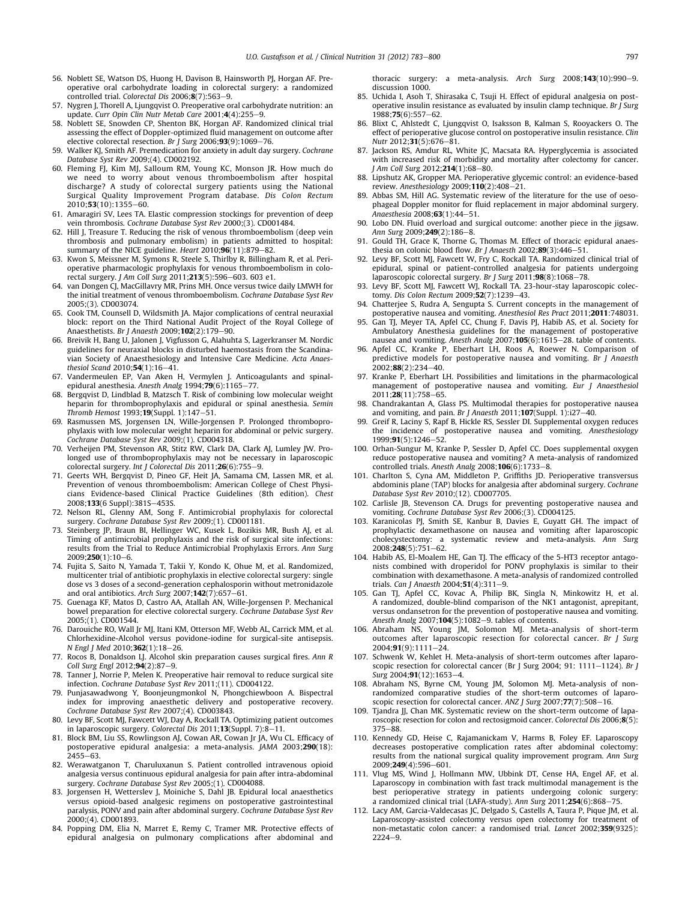- <span id="page-14-0"></span>56. Noblett SE, Watson DS, Huong H, Davison B, Hainsworth PJ, Horgan AF. Preoperative oral carbohydrate loading in colorectal surgery: a randomized controlled trial. Colorectal Dis  $2006$ : $8(7)$ :563-9.
- 57. Nygren J, Thorell A, Ljungqvist O. Preoperative oral carbohydrate nutrition: an update. Curr Opin Clin Nutr Metab Care 2001;4(4):255-9.
- 58. Noblett SE, Snowden CP, Shenton BK, Horgan AF. Randomized clinical trial assessing the effect of Doppler-optimized fluid management on outcome after elective colorectal resection. Br  $\overline{I}$  Surg 2006:93(9):1069-76.
- 59. Walker KJ, Smith AF. Premedication for anxiety in adult day surgery. Cochrane Database Syst Rev 2009;(4). CD002192.
- 60. Fleming FJ, Kim MJ, Salloum RM, Young KC, Monson JR. How much do we need to worry about venous thromboembolism after hospital discharge? A study of colorectal surgery patients using the National Surgical Quality Improvement Program database. Dis Colon Rectum  $2010:53(10):1355-60.$
- 61. Amaragiri SV, Lees TA. Elastic compression stockings for prevention of deep vein thrombosis. Cochrane Database Syst Rev 2000;(3). CD001484.
- 62. Hill J, Treasure T. Reducing the risk of venous thromboembolism (deep vein thrombosis and pulmonary embolism) in patients admitted to hospital: summary of the NICE guideline. Heart  $2010:96(11):879-82$ .
- 63. Kwon S, Meissner M, Symons R, Steele S, Thirlby R, Billingham R, et al. Perioperative pharmacologic prophylaxis for venous thromboembolism in colorectal surgery. J Am Coll Surg 2011;213(5):596-603. 603 e1.
- 64. van Dongen CJ, MacGillavry MR, Prins MH. Once versus twice daily LMWH for the initial treatment of venous thromboembolism. Cochrane Database Syst Rev 2005;(3). CD003074.
- 65. Cook TM, Counsell D, Wildsmith JA. Major complications of central neuraxial block: report on the Third National Audit Project of the Royal College of Anaesthetists. Br J Anaesth 2009;102(2):179-90.
- 66. Breivik H, Bang U, Jalonen J, Vigfusson G, Alahuhta S, Lagerkranser M. Nordic guidelines for neuraxial blocks in disturbed haemostasis from the Scandinavian Society of Anaesthesiology and Intensive Care Medicine. Acta Anaesthesiol Scand 2010;54(1):16-41.
- 67. Vandermeulen EP, Van Aken H, Vermylen J. Anticoagulants and spinalepidural anesthesia. Anesth Analg  $1994;79(6):1165-77$ .
- 68. Bergqvist D, Lindblad B, Matzsch T. Risk of combining low molecular weight heparin for thromboprophylaxis and epidural or spinal anesthesia. Semin Thromb Hemost  $1993; 19(Suppl. 1): 147-51.$
- 69. Rasmussen MS, Jorgensen LN, Wille-Jorgensen P. Prolonged thromboprophylaxis with low molecular weight heparin for abdominal or pelvic surgery. Cochrane Database Syst Rev 2009;(1). CD004318.
- 70. Verheijen PM, Stevenson AR, Stitz RW, Clark DA, Clark AJ, Lumley JW. Prolonged use of thromboprophylaxis may not be necessary in laparoscopic colorectal surgery. Int J Colorectal Dis  $2011;26(6):755-9$ .
- 71. Geerts WH, Bergqvist D, Pineo GF, Heit JA, Samama CM, Lassen MR, et al. Prevention of venous thromboembolism: American College of Chest Physicians Evidence-based Clinical Practice Guidelines (8th edition). Chest 2008;133(6 Suppl):381S-453S.
- 72. Nelson RL, Glenny AM, Song F. Antimicrobial prophylaxis for colorectal surgery. Cochrane Database Syst Rev 2009;(1). CD001181.
- 73. Steinberg JP, Braun BI, Hellinger WC, Kusek L, Bozikis MR, Bush AJ, et al. Timing of antimicrobial prophylaxis and the risk of surgical site infections: results from the Trial to Reduce Antimicrobial Prophylaxis Errors. Ann Surg  $2009;250(1):10-6$ .
- 74. Fujita S, Saito N, Yamada T, Takii Y, Kondo K, Ohue M, et al. Randomized, multicenter trial of antibiotic prophylaxis in elective colorectal surgery: single dose vs 3 doses of a second-generation cephalosporin without metronidazole and oral antibiotics. Arch Surg  $2007;142(7):657-61$ .
- 75. Guenaga KF, Matos D, Castro AA, Atallah AN, Wille-Jorgensen P. Mechanical bowel preparation for elective colorectal surgery. Cochrane Database Syst Rev 2005;(1). CD001544.
- 76. Darouiche RO, Wall Jr MJ, Itani KM, Otterson MF, Webb AL, Carrick MM, et al. Chlorhexidine-Alcohol versus povidone-iodine for surgical-site antisepsis. N Engl J Med 2010; 362(1):  $18-\overline{26}$ .
- 77. Rocos B, Donaldson LJ. Alcohol skin preparation causes surgical fires. Ann R Coll Surg Engl 2012;94(2):87-9.
- 78. Tanner J, Norrie P, Melen K. Preoperative hair removal to reduce surgical site infection. Cochrane Database Syst Rev 2011;(11). CD004122.
- 79. Punjasawadwong Y, Boonjeungmonkol N, Phongchiewboon A. Bispectral index for improving anaesthetic delivery and postoperative recovery. Cochrane Database Syst Rev 2007;(4). CD003843.
- 80. Levy BF, Scott MJ, Fawcett WJ, Day A, Rockall TA. Optimizing patient outcomes in laparoscopic surgery. Colorectal Dis 2011;13(Suppl. 7):8-11.
- 81. Block BM, Liu SS, Rowlingson AJ, Cowan AR, Cowan Jr JA, Wu CL. Efficacy of postoperative epidural analgesia: a meta-analysis. JAMA 2003;290(18):  $2455 - 63.$
- 82. Werawatganon T, Charuluxanun S. Patient controlled intravenous opioid analgesia versus continuous epidural analgesia for pain after intra-abdominal surgery. Cochrane Database Syst Rev 2005;(1). CD004088.
- 83. Jorgensen H, Wetterslev J, Moiniche S, Dahl JB. Epidural local anaesthetics versus opioid-based analgesic regimens on postoperative gastrointestinal paralysis, PONV and pain after abdominal surgery. Cochrane Database Syst Rev 2000;(4). CD001893.
- 84. Popping DM, Elia N, Marret E, Remy C, Tramer MR. Protective effects of epidural analgesia on pulmonary complications after abdominal and

thoracic surgery: a meta-analysis. Arch Surg  $2008;143(10):990-9$ . discussion 1000.

- 85. Uchida I, Asoh T, Shirasaka C, Tsuji H. Effect of epidural analgesia on postoperative insulin resistance as evaluated by insulin clamp technique. Br  $\hat{I}$  Surg  $1988:75(6):557-62.$
- 86. Blixt C, Ahlstedt C, Ljungqvist O, Isaksson B, Kalman S, Rooyackers O. The effect of perioperative glucose control on postoperative insulin resistance. Clin Nutr 2012:31(5):676-81.
- 87. Jackson RS, Amdur RL, White JC, Macsata RA. Hyperglycemia is associated with increased risk of morbidity and mortality after colectomy for cancer. I Am Coll Surg 2012:214(1):68-80.
- 88. Lipshutz AK, Gropper MA. Perioperative glycemic control: an evidence-based review. Anesthesiology  $2009:110(2):408-21$ .
- 89. Abbas SM, Hill AG. Systematic review of the literature for the use of oesophageal Doppler monitor for fluid replacement in major abdominal surgery. Anaesthesia  $2008:63(1):44-51$ .
- 90. Lobo DN. Fluid overload and surgical outcome: another piece in the jigsaw. Ann Surg 2009; 249(2): 186-8.
- 91. Gould TH, Grace K, Thorne G, Thomas M. Effect of thoracic epidural anaesthesia on colonic blood flow. Br J Anaesth  $2002;89(3):446-51$
- 92. Levy BF, Scott MJ, Fawcett W, Fry C, Rockall TA. Randomized clinical trial of epidural, spinal or patient-controlled analgesia for patients undergoing laparoscopic colorectal surgery. Br J Surg  $2011$ ; 98(8): 1068-78.
- 93. Levy BF, Scott MJ, Fawcett WJ, Rockall TA. 23-hour-stay laparoscopic colectomy. Dis Colon Rectum 2009;52(7):1239-43.
- 94. Chatterjee S, Rudra A, Sengupta S. Current concepts in the management of postoperative nausea and vomiting. Anesthesiol Res Pract 2011;2011:748031.
- 95. Gan TJ, Meyer TA, Apfel CC, Chung F, Davis PJ, Habib AS, et al. Society for Ambulatory Anesthesia guidelines for the management of postoperative nausea and vomiting. Anesth Analg 2007;105(6):1615-28. table of contents.
- 96. Apfel CC, Kranke P, Eberhart LH, Roos A, Roewer N. Comparison of predictive models for postoperative nausea and vomiting. Br J Anaesth  $2002:88(2):234-40.$
- 97. Kranke P, Eberhart LH. Possibilities and limitations in the pharmacological management of postoperative nausea and vomiting. Eur J Anaesthesiol 2011;28(11):758-65.
- 98. Chandrakantan A, Glass PS. Multimodal therapies for postoperative nausea and vomiting, and pain. Br J Anaesth 2011;107(Suppl. 1): $i27-40$ .
- 99. Greif R, Laciny S, Rapf B, Hickle RS, Sessler DI. Supplemental oxygen reduces the incidence of postoperative nausea and vomiting. Anesthesiology 1999;91(5):1246-52.
- 100. Orhan-Sungur M, Kranke P, Sessler D, Apfel CC. Does supplemental oxygen reduce postoperative nausea and vomiting? A meta-analysis of randomized controlled trials. Anesth Analg  $2008;106(6):1733-8$ .
- 101. Charlton S, Cyna AM, Middleton P, Griffiths JD. Perioperative transversus abdominis plane (TAP) blocks for analgesia after abdominal surgery. Cochrane Database Syst Rev 2010;(12). CD007705.
- 102. Carlisle JB, Stevenson CA. Drugs for preventing postoperative nausea and vomiting. Cochrane Database Syst Rev 2006;(3). CD004125.
- 103. Karanicolas PJ, Smith SE, Kanbur B, Davies E, Guyatt GH. The impact of prophylactic dexamethasone on nausea and vomiting after laparoscopic cholecystectomy: a systematic review and meta-analysis. Ann Surg 2008;248(5):751-62.
- 104. Habib AS, El-Moalem HE, Gan TJ. The efficacy of the 5-HT3 receptor antagonists combined with droperidol for PONV prophylaxis is similar to their combination with dexamethasone. A meta-analysis of randomized controlled trials. Can J Anaesth 2004;51(4):311-9.
- 105. Gan TJ, Apfel CC, Kovac A, Philip BK, Singla N, Minkowitz H, et al. A randomized, double-blind comparison of the NK1 antagonist, aprepitant, versus ondansetron for the prevention of postoperative nausea and vomiting. Anesth Analg 2007;104(5):1082-9. tables of contents.
- 106. Abraham NS, Young JM, Solomon MJ. Meta-analysis of short-term outcomes after laparoscopic resection for colorectal cancer. Br J Surg  $2004;91(9):1111-\hat{2}4.$
- 107. Schwenk W, Kehlet H. Meta-analysis of short-term outcomes after laparoscopic resection for colorectal cancer (Br J Surg 2004; 91: 1111-1124). Br J Surg 2004;91(12):1653-4.
- 108. Abraham NS, Byrne CM, Young JM, Solomon MJ. Meta-analysis of nonrandomized comparative studies of the short-term outcomes of laparoscopic resection for colorectal cancer. ANZ J Surg 2007;77(7):508-16.
- 109. Tjandra JJ, Chan MK. Systematic review on the short-term outcome of laparoscopic resection for colon and rectosigmoid cancer. Colorectal Dis  $2006; 8(5)$ :  $375 - 88.$
- 110. Kennedy GD, Heise C, Rajamanickam V, Harms B, Foley EF. Laparoscopy decreases postoperative complication rates after abdominal colectomy: results from the national surgical quality improvement program. Ann Surg 2009;249(4):596-601.
- 111. Vlug MS, Wind J, Hollmann MW, Ubbink DT, Cense HA, Engel AF, et al. Laparoscopy in combination with fast track multimodal management is the best perioperative strategy in patients undergoing colonic surgery: a randomized clinical trial (LAFA-study). Ann Surg  $2011;254(6):868-75.$
- 112. Lacy AM, Garcia-Valdecasas JC, Delgado S, Castells A, Taura P, Pique JM, et al. Laparoscopy-assisted colectomy versus open colectomy for treatment of non-metastatic colon cancer: a randomised trial. Lancet 2002;359(9325):  $2224 - 9.$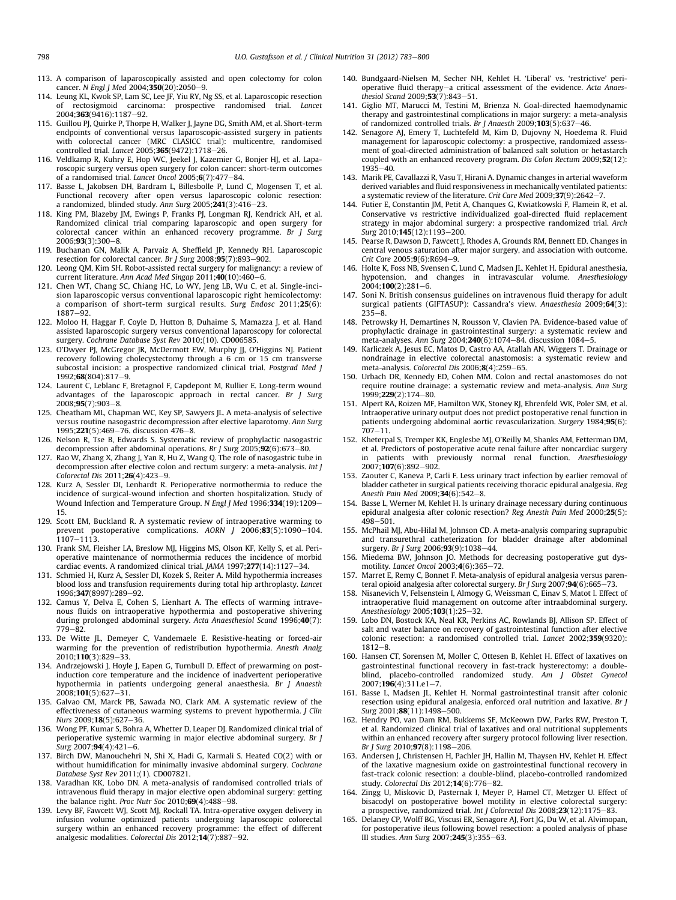- <span id="page-15-0"></span>113. A comparison of laparoscopically assisted and open colectomy for colon cancer. N Engl J Med 2004;350(20):2050-9.
- 114. Leung KL, Kwok SP, Lam SC, Lee JF, Yiu RY, Ng SS, et al. Laparoscopic resection of rectosigmoid carcinoma: prospective randomised trial. Lancet 2004;363(9416):1187-92.
- 115. Guillou PJ, Quirke P, Thorpe H, Walker J, Jayne DG, Smith AM, et al. Short-term endpoints of conventional versus laparoscopic-assisted surgery in patients with colorectal cancer (MRC CLASICC trial): multicentre, randomised controlled trial. Lancet  $2005:365(9472):1718-26$ .
- 116. Veldkamp R, Kuhry E, Hop WC, Jeekel J, Kazemier G, Bonjer HJ, et al. Laparoscopic surgery versus open surgery for colon cancer: short-term outcomes of a randomised trial. Lancet Oncol  $2005; 6(7): 477-84$ .
- 117. Basse L, Jakobsen DH, Bardram L, Billesbolle P, Lund C, Mogensen T, et al. Functional recovery after open versus laparoscopic colonic resection: a randomized, blinded study. Ann Surg 2005; $241(3):416-23$ .
- 118. King PM, Blazeby JM, Ewings P, Franks PJ, Longman RJ, Kendrick AH, et al. Randomized clinical trial comparing laparoscopic and open surgery for colorectal cancer within an enhanced recovery programme. Br J Surg  $2006:93(3):300-8$
- 119. Buchanan GN, Malik A, Parvaiz A, Sheffield JP, Kennedy RH. Laparoscopic resection for colorectal cancer. Br J Surg  $2008;95(7):893-902$ .
- 120. Leong QM, Kim SH. Robot-assisted rectal surgery for malignancy: a review of current literature. Ann Acad Med Singap 2011;40(10):460-6.
- 121. Chen WT, Chang SC, Chiang HC, Lo WY, Jeng LB, Wu C, et al. Single-incision laparoscopic versus conventional laparoscopic right hemicolectomy: a comparison of short-term surgical results. Surg Endosc 2011;25(6): 1887-92
- 122. Moloo H, Haggar F, Coyle D, Hutton B, Duhaime S, Mamazza J, et al. Hand assisted laparoscopic surgery versus conventional laparoscopy for colorectal surgery. Cochrane Database Syst Rev 2010;(10). CD006585.
- 123. O'Dwyer PJ, McGregor JR, McDermott EW, Murphy JJ, O'Higgins NJ. Patient recovery following cholecystectomy through a 6 cm or 15 cm transverse subcostal incision: a prospective randomized clinical trial. Postgrad Med J 1992;68(804):817-9.
- 124. Laurent C, Leblanc F, Bretagnol F, Capdepont M, Rullier E. Long-term wound advantages of the laparoscopic approach in rectal cancer. Br J Surg 2008;95(7):903-8.
- 125. Cheatham ML, Chapman WC, Key SP, Sawyers JL. A meta-analysis of selective versus routine nasogastric decompression after elective laparotomy. Ann Surg 1995;221(5):469-76. discussion 476-8.
- 126. Nelson R, Tse B, Edwards S. Systematic review of prophylactic nasogastric decompression after abdominal operations. Br J Surg  $2005;92(6):673-80$ .
- 127. Rao W, Zhang X, Zhang J, Yan R, Hu Z, Wang Q. The role of nasogastric tube in decompression after elective colon and rectum surgery: a meta-analysis. Int J Colorectal Dis  $2011;26(4):423-9$ .
- 128. Kurz A, Sessler DI, Lenhardt R. Perioperative normothermia to reduce the incidence of surgical-wound infection and shorten hospitalization. Study of Wound Infection and Temperature Group. N Engl J Med 1996;334(19):1209-15.
- 129. Scott EM, Buckland R. A systematic review of intraoperative warming to prevent postoperative complications. AORN  $J$  2006;83(5):1090-104. 1107-1113.
- 130. Frank SM, Fleisher LA, Breslow MJ, Higgins MS, Olson KF, Kelly S, et al. Perioperative maintenance of normothermia reduces the incidence of morbid cardiac events. A randomized clinical trial. JAMA 1997;277(14):1127-34.
- 131. Schmied H, Kurz A, Sessler DI, Kozek S, Reiter A. Mild hypothermia increases blood loss and transfusion requirements during total hip arthroplasty. Lancet 1996;347(8997):289-92.
- 132. Camus Y, Delva E, Cohen S, Lienhart A. The effects of warming intravenous fluids on intraoperative hypothermia and postoperative shivering during prolonged abdominal surgery. Acta Anaesthesiol Scand 1996;40(7):  $779 - 82.$
- 133. De Witte JL, Demeyer C, Vandemaele E. Resistive-heating or forced-air warming for the prevention of redistribution hypothermia. Anesth Analg 2010;110(3):829-33.
- 134. Andrzejowski J, Hoyle J, Eapen G, Turnbull D. Effect of prewarming on postinduction core temperature and the incidence of inadvertent perioperative hypothermia in patients undergoing general anaesthesia. Br J Anaesth 2008;101(5):627-31.
- 135. Galvao CM, Marck PB, Sawada NO, Clark AM. A systematic review of the effectiveness of cutaneous warming systems to prevent hypothermia. J Clin Nurs 2009;18(5):627-36.
- 136. Wong PF, Kumar S, Bohra A, Whetter D, Leaper DJ. Randomized clinical trial of perioperative systemic warming in major elective abdominal surgery. Br J  $Surg$  2007;94(4):421-6.
- 137. Birch DW, Manouchehri N, Shi X, Hadi G, Karmali S. Heated CO(2) with or without humidification for minimally invasive abdominal surgery. Cochrane Database Syst Rev 2011;(1). CD007821.
- 138. Varadhan KK, Lobo DN. A meta-analysis of randomised controlled trials of intravenous fluid therapy in major elective open abdominal surgery: getting the balance right. Proc Nutr Soc  $2010;69(4):488-98$ .
- 139. Levy BF, Fawcett WJ, Scott MJ, Rockall TA. Intra-operative oxygen delivery in infusion volume optimized patients undergoing laparoscopic colorectal surgery within an enhanced recovery programme: the effect of different analgesic modalities. Colorectal Dis  $2012;14(7):887-92$ .
- 140. Bundgaard-Nielsen M, Secher NH, Kehlet H. 'Liberal' vs. 'restrictive' perioperative fluid therapy-a critical assessment of the evidence. Acta Anaesthesiol Scand 2009;53(7):843-51.
- 141. Giglio MT, Marucci M, Testini M, Brienza N. Goal-directed haemodynamic therapy and gastrointestinal complications in major surgery: a meta-analysis of randomized controlled trials. Br J Anaesth  $2009;103(5):637-46$ .
- 142. Senagore AJ, Emery T, Luchtefeld M, Kim D, Dujovny N, Hoedema R. Fluid management for laparoscopic colectomy: a prospective, randomized assessment of goal-directed administration of balanced salt solution or hetastarch coupled with an enhanced recovery program. Dis Colon Rectum 2009;52(12):  $1935 - 40.$
- 143. Marik PE, Cavallazzi R, Vasu T, Hirani A. Dynamic changes in arterial waveform derived variables and fluid responsiveness in mechanically ventilated patients: a systematic review of the literature. Crit Care Med  $2009:37(9):2642-7$
- 144. Futier E, Constantin JM, Petit A, Chanques G, Kwiatkowski F, Flamein R, et al. Conservative vs restrictive individualized goal-directed fluid replacement strategy in major abdominal surgery: a prospective randomized trial. Arch Surg 2010:145(12):1193-200.
- 145. Pearse R, Dawson D, Fawcett J, Rhodes A, Grounds RM, Bennett ED. Changes in central venous saturation after major surgery, and association with outcome.  $Crit Care 2005:9(6):R694-9.$
- 146. Holte K, Foss NB, Svensen C, Lund C, Madsen JL, Kehlet H. Epidural anesthesia, hypotension, and changes in intravascular volume. Anesthesiology  $2004;100(2):281-6$
- 147. Soni N. British consensus guidelines on intravenous fluid therapy for adult surgical patients (GIFTASUP): Cassandra's view. Anaesthesia 2009;64(3):  $235 - 8$
- 148. Petrowsky H, Demartines N, Rousson V, Clavien PA. Evidence-based value of prophylactic drainage in gastrointestinal surgery: a systematic review and meta-analyses. Ann Surg 2004;240(6):1074-84. discussion 1084-5.
- 149. Karliczek A, Jesus EC, Matos D, Castro AA, Atallah AN, Wiggers T. Drainage or nondrainage in elective colorectal anastomosis: a systematic review and meta-analysis. Colorectal Dis 2006;8(4):259-65.
- 150. Urbach DR, Kennedy ED, Cohen MM. Colon and rectal anastomoses do not require routine drainage: a systematic review and meta-analysis. Ann Surg 1999;229(2):174-80.
- 151. Alpert RA, Roizen MF, Hamilton WK, Stoney RJ, Ehrenfeld WK, Poler SM, et al. Intraoperative urinary output does not predict postoperative renal function in patients undergoing abdominal aortic revascularization. Surgery 1984;95(6):  $707 - 11.$
- 152. Kheterpal S, Tremper KK, Englesbe MJ, O'Reilly M, Shanks AM, Fetterman DM, et al. Predictors of postoperative acute renal failure after noncardiac surgery in patients with previously normal renal function. Anesthesiology 2007;107(6):892-902.
- 153. Zaouter C, Kaneva P, Carli F. Less urinary tract infection by earlier removal of bladder catheter in surgical patients receiving thoracic epidural analgesia. Reg Anesth Pain Med 2009;34(6):542-8.
- 154. Basse L, Werner M, Kehlet H. Is urinary drainage necessary during continuous epidural analgesia after colonic resection? Reg Anesth Pain Med 2000;25(5):  $498 - 501$
- 155. McPhail MJ, Abu-Hilal M, Johnson CD. A meta-analysis comparing suprapubic and transurethral catheterization for bladder drainage after abdominal surgery. Br J Surg 2006;93(9):1038-44.
- 156. Miedema BW, Johnson JO. Methods for decreasing postoperative gut dysmotility. Lancet Oncol 2003;4(6):365-72.
- 157. Marret E, Remy C, Bonnet F. Meta-analysis of epidural analgesia versus parenteral opioid analgesia after colorectal surgery. Br J Surg  $2007$ ;  $94(6)$ : 665-73.
- 158. Nisanevich V, Felsenstein I, Almogy G, Weissman C, Einav S, Matot I. Effect of intraoperative fluid management on outcome after intraabdominal surgery. Anesthesiology 2005;103(1):25-32.
- 159. Lobo DN, Bostock KA, Neal KR, Perkins AC, Rowlands BJ, Allison SP. Effect of salt and water balance on recovery of gastrointestinal function after elective colonic resection: a randomised controlled trial. Lancet 2002;359(9320):  $1812 - 8.$
- 160. Hansen CT, Sorensen M, Moller C, Ottesen B, Kehlet H. Effect of laxatives on gastrointestinal functional recovery in fast-track hysterectomy: a doubleblind, placebo-controlled randomized study. Am J Obstet Gynecol  $2007;196(4):311.e1-7.$
- 161. Basse L, Madsen JL, Kehlet H. Normal gastrointestinal transit after colonic resection using epidural analgesia, enforced oral nutrition and laxative. Br J Surg 2001;88(11):1498-500.
- 162. Hendry PO, van Dam RM, Bukkems SF, McKeown DW, Parks RW, Preston T, et al. Randomized clinical trial of laxatives and oral nutritional supplements within an enhanced recovery after surgery protocol following liver resection. Br J Surg 2010;97(8):1198-206.
- 163. Andersen J, Christensen H, Pachler JH, Hallin M, Thaysen HV, Kehlet H. Effect of the laxative magnesium oxide on gastrointestinal functional recovery in fast-track colonic resection: a double-blind, placebo-controlled randomized study. Colorectal Dis  $2012; 14(6): 776-82$ .
- 164. Zingg U, Miskovic D, Pasternak I, Meyer P, Hamel CT, Metzger U. Effect of bisacodyl on postoperative bowel motility in elective colorectal surgery: a prospective, randomized trial. Int J Colorectal Dis  $2008;23(12):1175-83$ .
- 165. Delaney CP, Wolff BG, Viscusi ER, Senagore AJ, Fort JG, Du W, et al. Alvimopan, for postoperative ileus following bowel resection: a pooled analysis of phase III studies. Ann Surg 2007;245(3):355-63.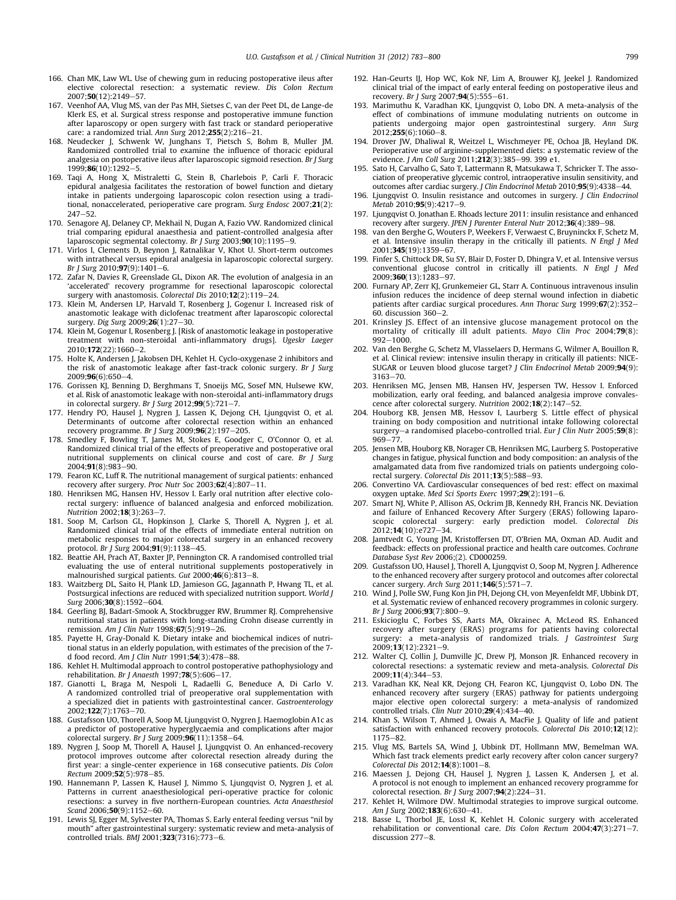- <span id="page-16-0"></span>166. Chan MK, Law WL. Use of chewing gum in reducing postoperative ileus after elective colorectal resection: a systematic review. Dis Colon Rectum 2007:50(12):2149-57.
- 167. Veenhof AA, Vlug MS, van der Pas MH, Sietses C, van der Peet DL, de Lange-de Klerk ES, et al. Surgical stress response and postoperative immune function after laparoscopy or open surgery with fast track or standard perioperative care: a randomized trial. Ann Surg  $2012;255(2):216-21$ .
- 168. Neudecker J, Schwenk W, Junghans T, Pietsch S, Bohm B, Muller JM. Randomized controlled trial to examine the influence of thoracic epidural analgesia on postoperative ileus after laparoscopic sigmoid resection. Br J Surg  $1999:86(10):1292-5.$
- 169. Taqi A, Hong X, Mistraletti G, Stein B, Charlebois P, Carli F. Thoracic epidural analgesia facilitates the restoration of bowel function and dietary intake in patients undergoing laparoscopic colon resection using a traditional, nonaccelerated, perioperative care program. Surg Endosc 2007;21(2):  $247 - 52.$
- 170. Senagore AJ, Delaney CP, Mekhail N, Dugan A, Fazio VW. Randomized clinical trial comparing epidural anaesthesia and patient-controlled analgesia after
- laparoscopic segmental colectomy. Br J Surg 2003;90(10):1195–9.<br>171. Virlos I, Clements D, Beynon J, Ratnalikar V, Khot U. Short-term outcomes with intrathecal versus epidural analgesia in laparoscopic colorectal surgery. Br J Surg 2010;  $97(9)$ : 1401-6.
- 172. Zafar N, Davies R, Greenslade GL, Dixon AR. The evolution of analgesia in an 'accelerated' recovery programme for resectional laparoscopic colorectal surgery with anastomosis. Colorectal Dis  $2010; 12(2): 119-24$ .
- 173. Klein M, Andersen LP, Harvald T, Rosenberg J, Gogenur I. Increased risk of anastomotic leakage with diclofenac treatment after laparoscopic colorectal surgery. Dig Surg 2009;26(1):27-30.
- 174. Klein M, Gogenur I, Rosenberg J. [Risk of anastomotic leakage in postoperative treatment with non-steroidal anti-inflammatory drugs]. Ugeskr Laeger 2010;172(22):1660-2.
- 175. Holte K, Andersen J, Jakobsen DH, Kehlet H. Cyclo-oxygenase 2 inhibitors and the risk of anastomotic leakage after fast-track colonic surgery. Br J Surg  $2009;96(6):650-4.$
- 176. Gorissen KJ, Benning D, Berghmans T, Snoeijs MG, Sosef MN, Hulsewe KW, et al. Risk of anastomotic leakage with non-steroidal anti-inflammatory drugs in colorectal surgery. Br J Surg  $2012;99(5):721-7$ .
- 177. Hendry PO, Hausel J, Nygren J, Lassen K, Dejong CH, Ljungqvist O, et al. Determinants of outcome after colorectal resection within an enhanced recovery programme. Br J Surg  $2009;96(2):197-205$ .
- 178. Smedley F, Bowling T, James M, Stokes E, Goodger C, O'Connor O, et al. Randomized clinical trial of the effects of preoperative and postoperative oral nutritional supplements on clinical course and cost of care. Br J Surg 2004;91(8):983-90.
- 179. Fearon KC, Luff R. The nutritional management of surgical patients: enhanced recovery after surgery. Proc Nutr Soc  $2003;62(4):807-11$ .
- 180. Henriksen MG, Hansen HV, Hessov I. Early oral nutrition after elective colorectal surgery: influence of balanced analgesia and enforced mobilization. Nutrition 2002;18(3):263-7.
- 181. Soop M, Carlson GL, Hopkinson J, Clarke S, Thorell A, Nygren J, et al. Randomized clinical trial of the effects of immediate enteral nutrition on metabolic responses to major colorectal surgery in an enhanced recovery protocol. Br J Surg 2004;  $91(9)$ : 1138-45.
- 182. Beattie AH, Prach AT, Baxter JP, Pennington CR. A randomised controlled trial evaluating the use of enteral nutritional supplements postoperatively in malnourished surgical patients. Gut  $2000;46(6):813-8$ .
- 183. Waitzberg DL, Saito H, Plank LD, Jamieson GG, Jagannath P, Hwang TL, et al. Postsurgical infections are reduced with specialized nutrition support. World J Surg 2006;30(8):1592-604.
- 184. Geerling BJ, Badart-Smook A, Stockbrugger RW, Brummer RJ. Comprehensive nutritional status in patients with long-standing Crohn disease currently in remission. Am J Clin Nutr 1998;67(5):919-26.
- 185. Payette H, Gray-Donald K. Dietary intake and biochemical indices of nutritional status in an elderly population, with estimates of the precision of the 7 d food record. Am J Clin Nutr 1991;54(3):478-88.
- 186. Kehlet H. Multimodal approach to control postoperative pathophysiology and rehabilitation. Br J Anaesth  $1997;78(5):606-17$ .
- 187. Gianotti L, Braga M, Nespoli L, Radaelli G, Beneduce A, Di Carlo V. A randomized controlled trial of preoperative oral supplementation with a specialized diet in patients with gastrointestinal cancer. Gastroenterology 2002;122(7):1763-70.
- 188. Gustafsson UO, Thorell A, Soop M, Ljungqvist O, Nygren J. Haemoglobin A1c as a predictor of postoperative hyperglycaemia and complications after major colorectal surgery. Br J Surg  $2009;96(11):1358-64$ .
- 189. Nygren J, Soop M, Thorell A, Hausel J, Ljungqvist O. An enhanced-recovery protocol improves outcome after colorectal resection already during the first year: a single-center experience in 168 consecutive patients. Dis Colon Rectum 2009;52(5):978-85.
- 190. Hannemann P, Lassen K, Hausel J, Nimmo S, Ljungqvist O, Nygren J, et al. Patterns in current anaesthesiological peri-operative practice for colonic resections: a survey in five northern-European countries. Acta Anaesthesiol Scand 2006;50(9):1152-60.
- 191. Lewis SJ, Egger M, Sylvester PA, Thomas S. Early enteral feeding versus "nil by mouth" after gastrointestinal surgery: systematic review and meta-analysis of controlled trials. BMJ 2001;323(7316):773-6.
- 192. Han-Geurts IJ, Hop WC, Kok NF, Lim A, Brouwer KJ, Jeekel J. Randomized clinical trial of the impact of early enteral feeding on postoperative ileus and recovery. Br J Surg  $2007;94(5):555-61$ .
- 193. Marimuthu K, Varadhan KK, Ljungqvist O, Lobo DN. A meta-analysis of the effect of combinations of immune modulating nutrients on outcome in patients undergoing major open gastrointestinal surgery. Ann Surg  $2012;255(6):1060-8.$
- 194. Drover JW, Dhaliwal R, Weitzel L, Wischmeyer PE, Ochoa JB, Heyland DK. Perioperative use of arginine-supplemented diets: a systematic review of the evidence. *J Am Coll Surg* 2011:212(3):385-99. 399 e1.
- 195. Sato H, Carvalho G, Sato T, Lattermann R, Matsukawa T, Schricker T. The association of preoperative glycemic control, intraoperative insulin sensitivity, and outcomes after cardiac surgery. J Clin Endocrinol Metab 2010;95(9):4338-44.
- 196. Ljungqvist O. Insulin resistance and outcomes in surgery. J Clin Endocrinol  $Metab$  2010:95(9):4217-9.
- 197. Ljungqvist O. Jonathan E. Rhoads lecture 2011: insulin resistance and enhanced recovery after surgery. JPEN J Parenter Enteral Nutr 2012;36(4):389-98.
- 198. van den Berghe G, Wouters P, Weekers F, Verwaest C, Bruyninckx F, Schetz M, et al. Intensive insulin therapy in the critically ill patients. N Engl J Med  $2001:345(19):1359-67.$
- 199. Finfer S, Chittock DR, Su SY, Blair D, Foster D, Dhingra V, et al. Intensive versus conventional glucose control in critically ill patients. N Engl J Med  $2009:360(13):1283-97.$
- 200. Furnary AP, Zerr KJ, Grunkemeier GL, Starr A. Continuous intravenous insulin infusion reduces the incidence of deep sternal wound infection in diabetic patients after cardiac surgical procedures. Ann Thorac Surg  $1999;67(2):352-$ 60. discussion  $360-2$ .
- 201. Krinsley JS. Effect of an intensive glucose management protocol on the mortality of critically ill adult patients. Mayo Clin Proc 2004;79(8):  $992 - 1000$
- 202. Van den Berghe G, Schetz M, Vlasselaers D, Hermans G, Wilmer A, Bouillon R, et al. Clinical review: intensive insulin therapy in critically ill patients: NICE-SUGAR or Leuven blood glucose target? J Clin Endocrinol Metab 2009;94(9):  $3163 - 70$
- 203. Henriksen MG, Jensen MB, Hansen HV, Jespersen TW, Hessov I. Enforced mobilization, early oral feeding, and balanced analgesia improve convalescence after colorectal surgery. Nutrition 2002;18(2):147-52.
- 204. Houborg KB, Jensen MB, Hessov I, Laurberg S. Little effect of physical training on body composition and nutritional intake following colorectal surgery-a randomised placebo-controlled trial. Eur J Clin Nutr 2005;59(8):  $969 - 77$
- 205. Jensen MB, Houborg KB, Norager CB, Henriksen MG, Laurberg S. Postoperative changes in fatigue, physical function and body composition: an analysis of the amalgamated data from five randomized trials on patients undergoing colorectal surgery. Colorectal Dis 2011;13(5):588-93.
- 206. Convertino VA. Cardiovascular consequences of bed rest: effect on maximal oxygen uptake. Med Sci Sports Exerc  $1997;29(2):191-6$ .
- 207. Smart NJ, White P, Allison AS, Ockrim JB, Kennedy RH, Francis NK. Deviation and failure of Enhanced Recovery After Surgery (ERAS) following laparoscopic colorectal surgery: early prediction model. Colorectal Dis 2012;14(10):e727-34.
- 208. Jamtvedt G, Young JM, Kristoffersen DT, O'Brien MA, Oxman AD. Audit and feedback: effects on professional practice and health care outcomes. Cochrane Database Syst Rev 2006;(2). CD000259.
- 209. Gustafsson UO, Hausel J, Thorell A, Ljungqvist O, Soop M, Nygren J. Adherence to the enhanced recovery after surgery protocol and outcomes after colorectal cancer surgery. Arch Surg  $2011;146(5):571-7$ .
- 210. Wind J, Polle SW, Fung Kon Jin PH, Dejong CH, von Meyenfeldt MF, Ubbink DT, et al. Systematic review of enhanced recovery programmes in colonic surgery. Br J Surg 2006;93(7):800-9.
- 211. Eskicioglu C, Forbes SS, Aarts MA, Okrainec A, McLeod RS. Enhanced recovery after surgery (ERAS) programs for patients having colorectal surgery: a meta-analysis of randomized trials. J Gastrointest Surg  $2009;13(12):2321-9.$
- 212. Walter CJ, Collin J, Dumville JC, Drew PJ, Monson JR. Enhanced recovery in colorectal resections: a systematic review and meta-analysis. Colorectal Dis 2009;11(4):344-53.
- 213. Varadhan KK, Neal KR, Dejong CH, Fearon KC, Ljungqvist O, Lobo DN. The enhanced recovery after surgery (ERAS) pathway for patients undergoing major elective open colorectal surgery: a meta-analysis of randomized controlled trials. Clin Nutr  $2010;29(4):434-40$ .
- 214. Khan S, Wilson T, Ahmed J, Owais A, MacFie J. Quality of life and patient satisfaction with enhanced recovery protocols. Colorectal Dis 2010;12(12): 1175-82.
- 215. Vlug MS, Bartels SA, Wind J, Ubbink DT, Hollmann MW, Bemelman WA. Which fast track elements predict early recovery after colon cancer surgery? Colorectal Dis  $2012; 14(8): 1001-8.$
- 216. Maessen J, Dejong CH, Hausel J, Nygren J, Lassen K, Andersen J, et al. A protocol is not enough to implement an enhanced recovery programme for colorectal resection. Br J Surg  $2007$ ; 94(2): 224-31.
- 217. Kehlet H, Wilmore DW. Multimodal strategies to improve surgical outcome. Am I Surg 2002:183(6):630-41.
- 218. Basse L, Thorbol JE, Lossl K, Kehlet H. Colonic surgery with accelerated rehabilitation or conventional care. Dis Colon Rectum 2004;47(3):271-7. discussion 277-8.